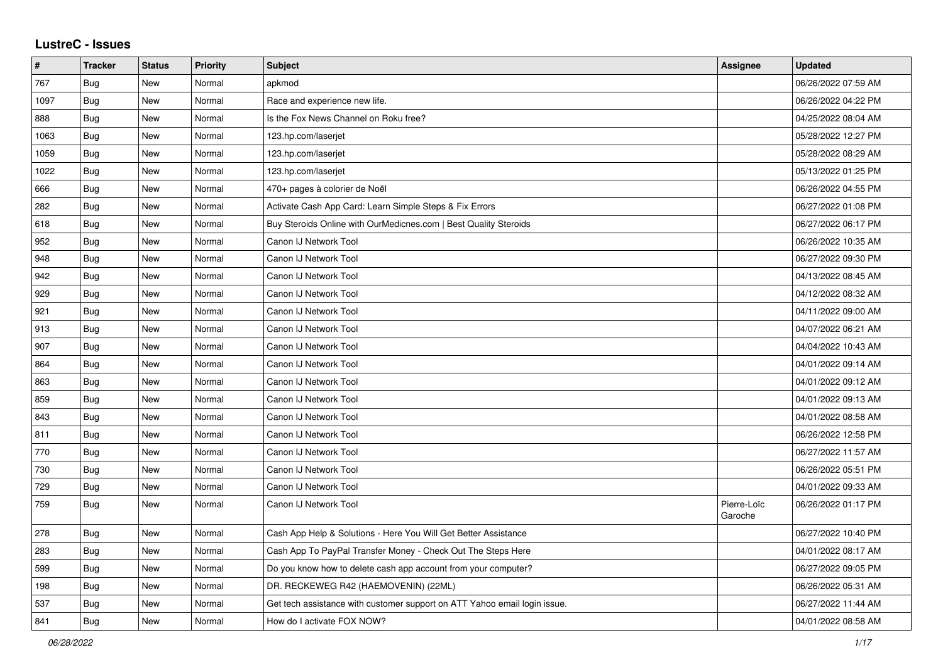## **LustreC - Issues**

| #    | <b>Tracker</b> | <b>Status</b> | <b>Priority</b> | <b>Subject</b>                                                            | <b>Assignee</b>        | <b>Updated</b>      |
|------|----------------|---------------|-----------------|---------------------------------------------------------------------------|------------------------|---------------------|
| 767  | Bug            | <b>New</b>    | Normal          | apkmod                                                                    |                        | 06/26/2022 07:59 AM |
| 1097 | Bug            | <b>New</b>    | Normal          | Race and experience new life.                                             |                        | 06/26/2022 04:22 PM |
| 888  | <b>Bug</b>     | <b>New</b>    | Normal          | Is the Fox News Channel on Roku free?                                     |                        | 04/25/2022 08:04 AM |
| 1063 | Bug            | <b>New</b>    | Normal          | 123.hp.com/laserjet                                                       |                        | 05/28/2022 12:27 PM |
| 1059 | Bug            | <b>New</b>    | Normal          | 123.hp.com/laserjet                                                       |                        | 05/28/2022 08:29 AM |
| 1022 | Bug            | <b>New</b>    | Normal          | 123.hp.com/laserjet                                                       |                        | 05/13/2022 01:25 PM |
| 666  | Bug            | <b>New</b>    | Normal          | 470+ pages à colorier de Noël                                             |                        | 06/26/2022 04:55 PM |
| 282  | Bug            | <b>New</b>    | Normal          | Activate Cash App Card: Learn Simple Steps & Fix Errors                   |                        | 06/27/2022 01:08 PM |
| 618  | Bug            | <b>New</b>    | Normal          | Buy Steroids Online with OurMedicnes.com   Best Quality Steroids          |                        | 06/27/2022 06:17 PM |
| 952  | Bug            | <b>New</b>    | Normal          | Canon IJ Network Tool                                                     |                        | 06/26/2022 10:35 AM |
| 948  | Bug            | New           | Normal          | Canon IJ Network Tool                                                     |                        | 06/27/2022 09:30 PM |
| 942  | <b>Bug</b>     | <b>New</b>    | Normal          | Canon IJ Network Tool                                                     |                        | 04/13/2022 08:45 AM |
| 929  | <b>Bug</b>     | <b>New</b>    | Normal          | Canon IJ Network Tool                                                     |                        | 04/12/2022 08:32 AM |
| 921  | Bug            | <b>New</b>    | Normal          | Canon IJ Network Tool                                                     |                        | 04/11/2022 09:00 AM |
| 913  | Bug            | <b>New</b>    | Normal          | Canon IJ Network Tool                                                     |                        | 04/07/2022 06:21 AM |
| 907  | Bug            | <b>New</b>    | Normal          | Canon IJ Network Tool                                                     |                        | 04/04/2022 10:43 AM |
| 864  | Bug            | <b>New</b>    | Normal          | Canon IJ Network Tool                                                     |                        | 04/01/2022 09:14 AM |
| 863  | <b>Bug</b>     | <b>New</b>    | Normal          | Canon IJ Network Tool                                                     |                        | 04/01/2022 09:12 AM |
| 859  | <b>Bug</b>     | <b>New</b>    | Normal          | Canon IJ Network Tool                                                     |                        | 04/01/2022 09:13 AM |
| 843  | Bug            | <b>New</b>    | Normal          | Canon IJ Network Tool                                                     |                        | 04/01/2022 08:58 AM |
| 811  | Bug            | <b>New</b>    | Normal          | Canon IJ Network Tool                                                     |                        | 06/26/2022 12:58 PM |
| 770  | <b>Bug</b>     | <b>New</b>    | Normal          | Canon IJ Network Tool                                                     |                        | 06/27/2022 11:57 AM |
| 730  | Bug            | <b>New</b>    | Normal          | Canon IJ Network Tool                                                     |                        | 06/26/2022 05:51 PM |
| 729  | Bug            | <b>New</b>    | Normal          | Canon IJ Network Tool                                                     |                        | 04/01/2022 09:33 AM |
| 759  | Bug            | <b>New</b>    | Normal          | Canon IJ Network Tool                                                     | Pierre-Loïc<br>Garoche | 06/26/2022 01:17 PM |
| 278  | Bug            | <b>New</b>    | Normal          | Cash App Help & Solutions - Here You Will Get Better Assistance           |                        | 06/27/2022 10:40 PM |
| 283  | <b>Bug</b>     | <b>New</b>    | Normal          | Cash App To PayPal Transfer Money - Check Out The Steps Here              |                        | 04/01/2022 08:17 AM |
| 599  | <b>Bug</b>     | <b>New</b>    | Normal          | Do you know how to delete cash app account from your computer?            |                        | 06/27/2022 09:05 PM |
| 198  | Bug            | <b>New</b>    | Normal          | DR. RECKEWEG R42 (HAEMOVENIN) (22ML)                                      |                        | 06/26/2022 05:31 AM |
| 537  | Bug            | <b>New</b>    | Normal          | Get tech assistance with customer support on ATT Yahoo email login issue. |                        | 06/27/2022 11:44 AM |
| 841  | Bug            | <b>New</b>    | Normal          | How do I activate FOX NOW?                                                |                        | 04/01/2022 08:58 AM |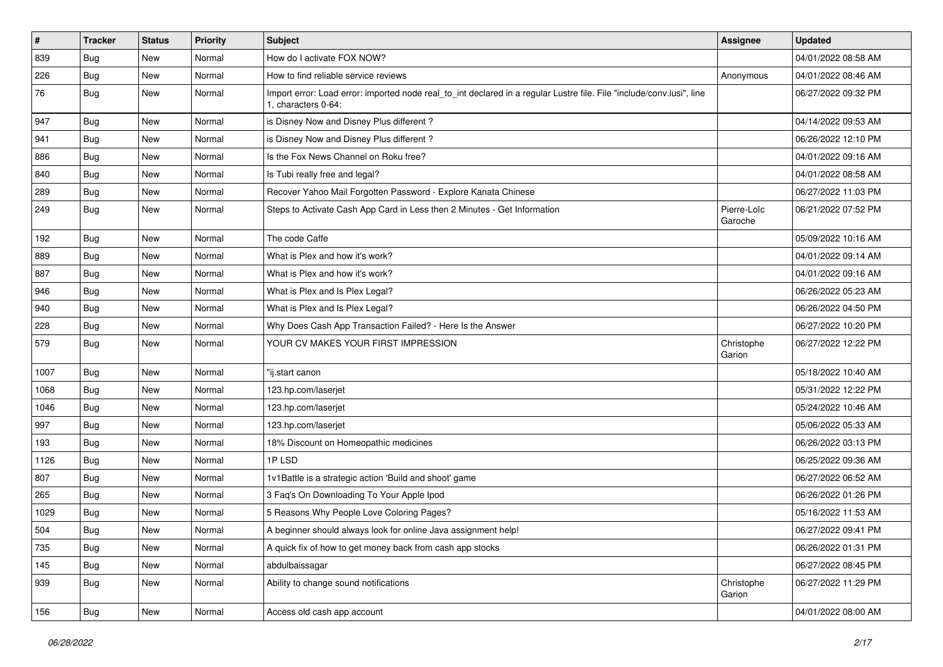| $\sharp$ | <b>Tracker</b> | <b>Status</b> | <b>Priority</b> | <b>Subject</b>                                                                                                                               | Assignee               | <b>Updated</b>      |
|----------|----------------|---------------|-----------------|----------------------------------------------------------------------------------------------------------------------------------------------|------------------------|---------------------|
| 839      | <b>Bug</b>     | New           | Normal          | How do I activate FOX NOW?                                                                                                                   |                        | 04/01/2022 08:58 AM |
| 226      | Bug            | <b>New</b>    | Normal          | How to find reliable service reviews                                                                                                         | Anonymous              | 04/01/2022 08:46 AM |
| 76       | Bug            | New           | Normal          | Import error: Load error: imported node real_to_int declared in a regular Lustre file. File "include/conv.lusi", line<br>1. characters 0-64: |                        | 06/27/2022 09:32 PM |
| 947      | Bug            | <b>New</b>    | Normal          | is Disney Now and Disney Plus different?                                                                                                     |                        | 04/14/2022 09:53 AM |
| 941      | Bug            | <b>New</b>    | Normal          | is Disney Now and Disney Plus different?                                                                                                     |                        | 06/26/2022 12:10 PM |
| 886      | Bug            | <b>New</b>    | Normal          | Is the Fox News Channel on Roku free?                                                                                                        |                        | 04/01/2022 09:16 AM |
| 840      | Bug            | <b>New</b>    | Normal          | Is Tubi really free and legal?                                                                                                               |                        | 04/01/2022 08:58 AM |
| 289      | Bug            | <b>New</b>    | Normal          | Recover Yahoo Mail Forgotten Password - Explore Kanata Chinese                                                                               |                        | 06/27/2022 11:03 PM |
| 249      | Bug            | <b>New</b>    | Normal          | Steps to Activate Cash App Card in Less then 2 Minutes - Get Information                                                                     | Pierre-Loïc<br>Garoche | 06/21/2022 07:52 PM |
| 192      | Bug            | <b>New</b>    | Normal          | The code Caffe                                                                                                                               |                        | 05/09/2022 10:16 AM |
| 889      | Bug            | New           | Normal          | What is Plex and how it's work?                                                                                                              |                        | 04/01/2022 09:14 AM |
| 887      | Bug            | <b>New</b>    | Normal          | What is Plex and how it's work?                                                                                                              |                        | 04/01/2022 09:16 AM |
| 946      | Bug            | <b>New</b>    | Normal          | What is Plex and Is Plex Legal?                                                                                                              |                        | 06/26/2022 05:23 AM |
| 940      | Bug            | <b>New</b>    | Normal          | What is Plex and Is Plex Legal?                                                                                                              |                        | 06/26/2022 04:50 PM |
| 228      | Bug            | New           | Normal          | Why Does Cash App Transaction Failed? - Here Is the Answer                                                                                   |                        | 06/27/2022 10:20 PM |
| 579      | Bug            | New           | Normal          | YOUR CV MAKES YOUR FIRST IMPRESSION                                                                                                          | Christophe<br>Garion   | 06/27/2022 12:22 PM |
| 1007     | Bug            | <b>New</b>    | Normal          | "ij.start canon                                                                                                                              |                        | 05/18/2022 10:40 AM |
| 1068     | Bug            | <b>New</b>    | Normal          | 123.hp.com/laserjet                                                                                                                          |                        | 05/31/2022 12:22 PM |
| 1046     | Bug            | <b>New</b>    | Normal          | 123.hp.com/laserjet                                                                                                                          |                        | 05/24/2022 10:46 AM |
| 997      | Bug            | New           | Normal          | 123.hp.com/laserjet                                                                                                                          |                        | 05/06/2022 05:33 AM |
| 193      | Bug            | <b>New</b>    | Normal          | 18% Discount on Homeopathic medicines                                                                                                        |                        | 06/26/2022 03:13 PM |
| 1126     | Bug            | <b>New</b>    | Normal          | 1PLSD                                                                                                                                        |                        | 06/25/2022 09:36 AM |
| 807      | Bug            | <b>New</b>    | Normal          | 1v1Battle is a strategic action 'Build and shoot' game                                                                                       |                        | 06/27/2022 06:52 AM |
| 265      | Bug            | <b>New</b>    | Normal          | 3 Faq's On Downloading To Your Apple Ipod                                                                                                    |                        | 06/26/2022 01:26 PM |
| 1029     | Bug            | <b>New</b>    | Normal          | 5 Reasons Why People Love Coloring Pages?                                                                                                    |                        | 05/16/2022 11:53 AM |
| 504      | Bug            | New           | Normal          | A beginner should always look for online Java assignment help!                                                                               |                        | 06/27/2022 09:41 PM |
| 735      | Bug            | New           | Normal          | A quick fix of how to get money back from cash app stocks                                                                                    |                        | 06/26/2022 01:31 PM |
| 145      | Bug            | New           | Normal          | abdulbaissagar                                                                                                                               |                        | 06/27/2022 08:45 PM |
| 939      | Bug            | New           | Normal          | Ability to change sound notifications                                                                                                        | Christophe<br>Garion   | 06/27/2022 11:29 PM |
| 156      | <b>Bug</b>     | New           | Normal          | Access old cash app account                                                                                                                  |                        | 04/01/2022 08:00 AM |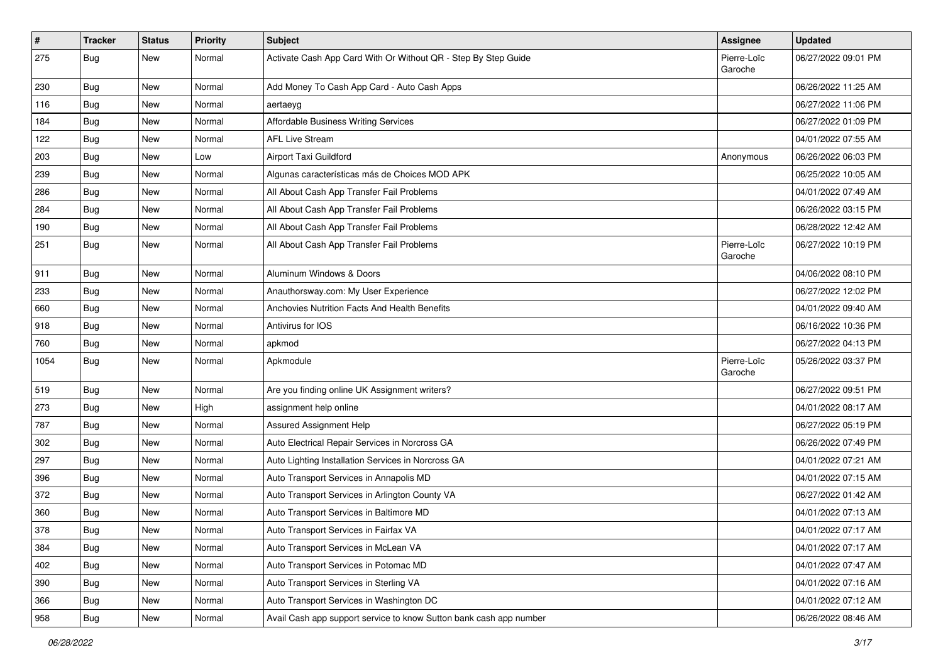| $\vert$ # | <b>Tracker</b> | <b>Status</b> | <b>Priority</b> | Subject                                                            | <b>Assignee</b>        | <b>Updated</b>      |
|-----------|----------------|---------------|-----------------|--------------------------------------------------------------------|------------------------|---------------------|
| 275       | <b>Bug</b>     | New           | Normal          | Activate Cash App Card With Or Without QR - Step By Step Guide     | Pierre-Loïc<br>Garoche | 06/27/2022 09:01 PM |
| 230       | Bug            | New           | Normal          | Add Money To Cash App Card - Auto Cash Apps                        |                        | 06/26/2022 11:25 AM |
| 116       | Bug            | New           | Normal          | aertaeyg                                                           |                        | 06/27/2022 11:06 PM |
| 184       | Bug            | <b>New</b>    | Normal          | Affordable Business Writing Services                               |                        | 06/27/2022 01:09 PM |
| 122       | Bug            | New           | Normal          | <b>AFL Live Stream</b>                                             |                        | 04/01/2022 07:55 AM |
| 203       | <b>Bug</b>     | New           | Low             | Airport Taxi Guildford                                             | Anonymous              | 06/26/2022 06:03 PM |
| 239       | <b>Bug</b>     | <b>New</b>    | Normal          | Algunas características más de Choices MOD APK                     |                        | 06/25/2022 10:05 AM |
| 286       | <b>Bug</b>     | New           | Normal          | All About Cash App Transfer Fail Problems                          |                        | 04/01/2022 07:49 AM |
| 284       | <b>Bug</b>     | <b>New</b>    | Normal          | All About Cash App Transfer Fail Problems                          |                        | 06/26/2022 03:15 PM |
| 190       | Bug            | New           | Normal          | All About Cash App Transfer Fail Problems                          |                        | 06/28/2022 12:42 AM |
| 251       | Bug            | New           | Normal          | All About Cash App Transfer Fail Problems                          | Pierre-Loïc<br>Garoche | 06/27/2022 10:19 PM |
| 911       | Bug            | New           | Normal          | Aluminum Windows & Doors                                           |                        | 04/06/2022 08:10 PM |
| 233       | Bug            | New           | Normal          | Anauthorsway.com: My User Experience                               |                        | 06/27/2022 12:02 PM |
| 660       | Bug            | <b>New</b>    | Normal          | Anchovies Nutrition Facts And Health Benefits                      |                        | 04/01/2022 09:40 AM |
| 918       | <b>Bug</b>     | New           | Normal          | Antivirus for IOS                                                  |                        | 06/16/2022 10:36 PM |
| 760       | Bug            | <b>New</b>    | Normal          | apkmod                                                             |                        | 06/27/2022 04:13 PM |
| 1054      | Bug            | New           | Normal          | Apkmodule                                                          | Pierre-Loïc<br>Garoche | 05/26/2022 03:37 PM |
| 519       | Bug            | New           | Normal          | Are you finding online UK Assignment writers?                      |                        | 06/27/2022 09:51 PM |
| 273       | Bug            | New           | High            | assignment help online                                             |                        | 04/01/2022 08:17 AM |
| 787       | <b>Bug</b>     | <b>New</b>    | Normal          | Assured Assignment Help                                            |                        | 06/27/2022 05:19 PM |
| 302       | Bug            | New           | Normal          | Auto Electrical Repair Services in Norcross GA                     |                        | 06/26/2022 07:49 PM |
| 297       | Bug            | <b>New</b>    | Normal          | Auto Lighting Installation Services in Norcross GA                 |                        | 04/01/2022 07:21 AM |
| 396       | <b>Bug</b>     | <b>New</b>    | Normal          | Auto Transport Services in Annapolis MD                            |                        | 04/01/2022 07:15 AM |
| 372       | <b>Bug</b>     | New           | Normal          | Auto Transport Services in Arlington County VA                     |                        | 06/27/2022 01:42 AM |
| 360       | <b>Bug</b>     | New           | Normal          | Auto Transport Services in Baltimore MD                            |                        | 04/01/2022 07:13 AM |
| 378       | Bug            | New           | Normal          | Auto Transport Services in Fairfax VA                              |                        | 04/01/2022 07:17 AM |
| 384       | Bug            | New           | Normal          | Auto Transport Services in McLean VA                               |                        | 04/01/2022 07:17 AM |
| 402       | Bug            | New           | Normal          | Auto Transport Services in Potomac MD                              |                        | 04/01/2022 07:47 AM |
| 390       | Bug            | New           | Normal          | Auto Transport Services in Sterling VA                             |                        | 04/01/2022 07:16 AM |
| 366       | Bug            | New           | Normal          | Auto Transport Services in Washington DC                           |                        | 04/01/2022 07:12 AM |
| 958       | <b>Bug</b>     | New           | Normal          | Avail Cash app support service to know Sutton bank cash app number |                        | 06/26/2022 08:46 AM |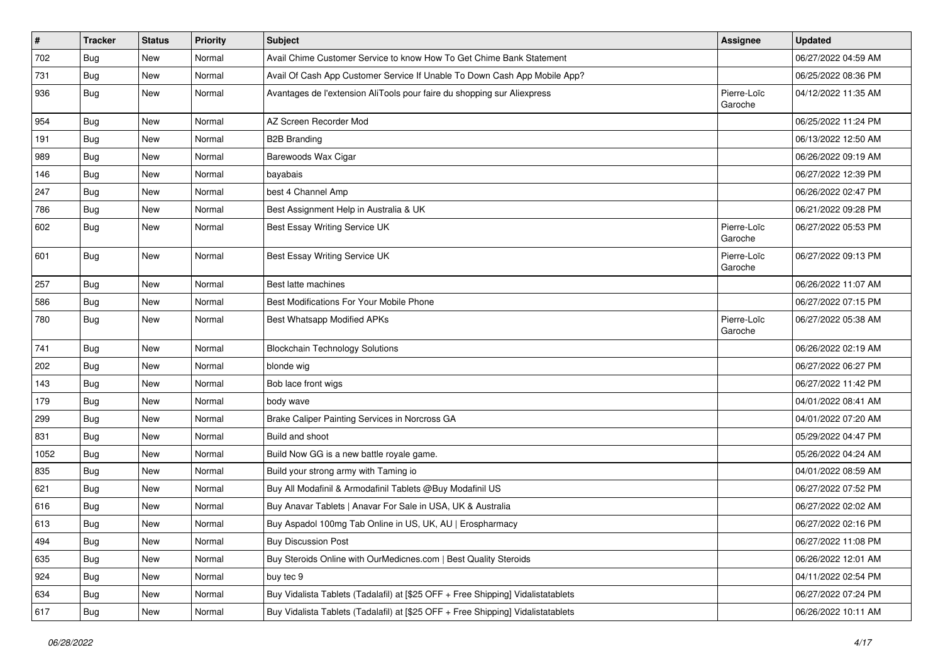| $\vert$ # | <b>Tracker</b> | <b>Status</b> | <b>Priority</b> | <b>Subject</b>                                                                   | <b>Assignee</b>        | <b>Updated</b>      |
|-----------|----------------|---------------|-----------------|----------------------------------------------------------------------------------|------------------------|---------------------|
| 702       | Bug            | New           | Normal          | Avail Chime Customer Service to know How To Get Chime Bank Statement             |                        | 06/27/2022 04:59 AM |
| 731       | Bug            | <b>New</b>    | Normal          | Avail Of Cash App Customer Service If Unable To Down Cash App Mobile App?        |                        | 06/25/2022 08:36 PM |
| 936       | Bug            | <b>New</b>    | Normal          | Avantages de l'extension AliTools pour faire du shopping sur Aliexpress          | Pierre-Loïc<br>Garoche | 04/12/2022 11:35 AM |
| 954       | <b>Bug</b>     | <b>New</b>    | Normal          | AZ Screen Recorder Mod                                                           |                        | 06/25/2022 11:24 PM |
| 191       | Bug            | New           | Normal          | <b>B2B Branding</b>                                                              |                        | 06/13/2022 12:50 AM |
| 989       | Bug            | New           | Normal          | Barewoods Wax Cigar                                                              |                        | 06/26/2022 09:19 AM |
| 146       | Bug            | <b>New</b>    | Normal          | bayabais                                                                         |                        | 06/27/2022 12:39 PM |
| 247       | <b>Bug</b>     | New           | Normal          | best 4 Channel Amp                                                               |                        | 06/26/2022 02:47 PM |
| 786       | Bug            | <b>New</b>    | Normal          | Best Assignment Help in Australia & UK                                           |                        | 06/21/2022 09:28 PM |
| 602       | Bug            | <b>New</b>    | Normal          | Best Essay Writing Service UK                                                    | Pierre-Loïc<br>Garoche | 06/27/2022 05:53 PM |
| 601       | Bug            | <b>New</b>    | Normal          | Best Essay Writing Service UK                                                    | Pierre-Loïc<br>Garoche | 06/27/2022 09:13 PM |
| 257       | Bug            | <b>New</b>    | Normal          | Best latte machines                                                              |                        | 06/26/2022 11:07 AM |
| 586       | Bug            | <b>New</b>    | Normal          | Best Modifications For Your Mobile Phone                                         |                        | 06/27/2022 07:15 PM |
| 780       | Bug            | New           | Normal          | <b>Best Whatsapp Modified APKs</b>                                               | Pierre-Loïc<br>Garoche | 06/27/2022 05:38 AM |
| 741       | Bug            | <b>New</b>    | Normal          | <b>Blockchain Technology Solutions</b>                                           |                        | 06/26/2022 02:19 AM |
| 202       | Bug            | <b>New</b>    | Normal          | blonde wig                                                                       |                        | 06/27/2022 06:27 PM |
| 143       | Bug            | <b>New</b>    | Normal          | Bob lace front wigs                                                              |                        | 06/27/2022 11:42 PM |
| 179       | Bug            | New           | Normal          | body wave                                                                        |                        | 04/01/2022 08:41 AM |
| 299       | <b>Bug</b>     | New           | Normal          | Brake Caliper Painting Services in Norcross GA                                   |                        | 04/01/2022 07:20 AM |
| 831       | Bug            | <b>New</b>    | Normal          | Build and shoot                                                                  |                        | 05/29/2022 04:47 PM |
| 1052      | <b>Bug</b>     | New           | Normal          | Build Now GG is a new battle royale game.                                        |                        | 05/26/2022 04:24 AM |
| 835       | Bug            | New           | Normal          | Build your strong army with Taming io                                            |                        | 04/01/2022 08:59 AM |
| 621       | Bug            | New           | Normal          | Buy All Modafinil & Armodafinil Tablets @Buy Modafinil US                        |                        | 06/27/2022 07:52 PM |
| 616       | <b>Bug</b>     | New           | Normal          | Buy Anavar Tablets   Anavar For Sale in USA, UK & Australia                      |                        | 06/27/2022 02:02 AM |
| 613       | Bug            | <b>New</b>    | Normal          | Buy Aspadol 100mg Tab Online in US, UK, AU   Erospharmacy                        |                        | 06/27/2022 02:16 PM |
| 494       | <b>Bug</b>     | New           | Normal          | <b>Buy Discussion Post</b>                                                       |                        | 06/27/2022 11:08 PM |
| 635       | Bug            | New           | Normal          | Buy Steroids Online with OurMedicnes.com   Best Quality Steroids                 |                        | 06/26/2022 12:01 AM |
| 924       | Bug            | New           | Normal          | buy tec 9                                                                        |                        | 04/11/2022 02:54 PM |
| 634       | Bug            | New           | Normal          | Buy Vidalista Tablets (Tadalafil) at [\$25 OFF + Free Shipping] Vidalistatablets |                        | 06/27/2022 07:24 PM |
| 617       | Bug            | New           | Normal          | Buy Vidalista Tablets (Tadalafil) at [\$25 OFF + Free Shipping] Vidalistatablets |                        | 06/26/2022 10:11 AM |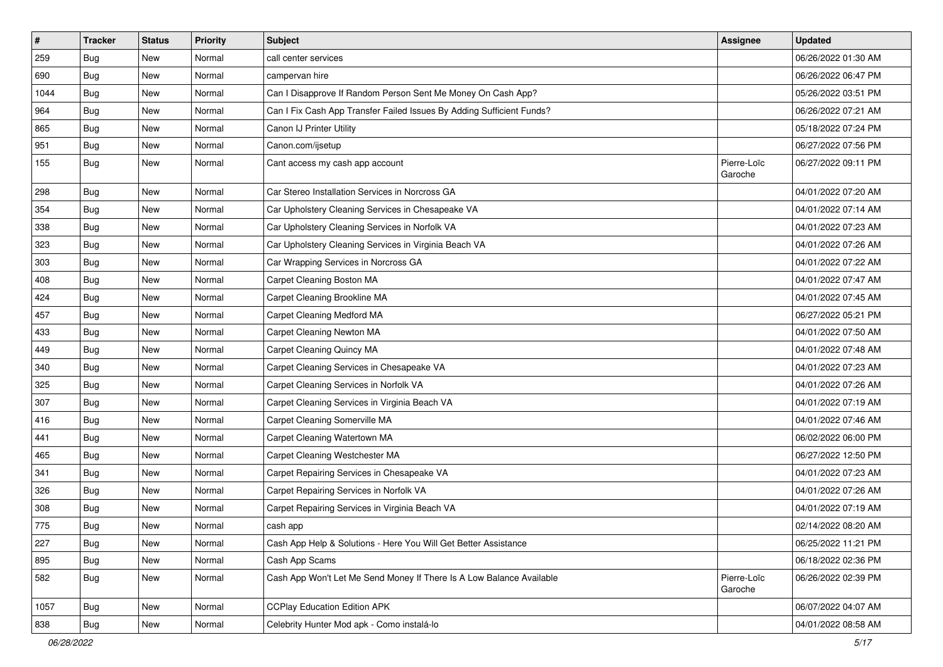| $\vert$ # | <b>Tracker</b> | <b>Status</b> | <b>Priority</b> | <b>Subject</b>                                                        | <b>Assignee</b>        | <b>Updated</b>      |
|-----------|----------------|---------------|-----------------|-----------------------------------------------------------------------|------------------------|---------------------|
| 259       | <b>Bug</b>     | New           | Normal          | call center services                                                  |                        | 06/26/2022 01:30 AM |
| 690       | Bug            | <b>New</b>    | Normal          | campervan hire                                                        |                        | 06/26/2022 06:47 PM |
| 1044      | Bug            | New           | Normal          | Can I Disapprove If Random Person Sent Me Money On Cash App?          |                        | 05/26/2022 03:51 PM |
| 964       | <b>Bug</b>     | New           | Normal          | Can I Fix Cash App Transfer Failed Issues By Adding Sufficient Funds? |                        | 06/26/2022 07:21 AM |
| 865       | Bug            | <b>New</b>    | Normal          | Canon IJ Printer Utility                                              |                        | 05/18/2022 07:24 PM |
| 951       | Bug            | New           | Normal          | Canon.com/ijsetup                                                     |                        | 06/27/2022 07:56 PM |
| 155       | Bug            | New           | Normal          | Cant access my cash app account                                       | Pierre-Loïc<br>Garoche | 06/27/2022 09:11 PM |
| 298       | Bug            | <b>New</b>    | Normal          | Car Stereo Installation Services in Norcross GA                       |                        | 04/01/2022 07:20 AM |
| 354       | Bug            | <b>New</b>    | Normal          | Car Upholstery Cleaning Services in Chesapeake VA                     |                        | 04/01/2022 07:14 AM |
| 338       | Bug            | New           | Normal          | Car Upholstery Cleaning Services in Norfolk VA                        |                        | 04/01/2022 07:23 AM |
| 323       | <b>Bug</b>     | New           | Normal          | Car Upholstery Cleaning Services in Virginia Beach VA                 |                        | 04/01/2022 07:26 AM |
| 303       | Bug            | <b>New</b>    | Normal          | Car Wrapping Services in Norcross GA                                  |                        | 04/01/2022 07:22 AM |
| 408       | <b>Bug</b>     | New           | Normal          | Carpet Cleaning Boston MA                                             |                        | 04/01/2022 07:47 AM |
| 424       | Bug            | New           | Normal          | Carpet Cleaning Brookline MA                                          |                        | 04/01/2022 07:45 AM |
| 457       | <b>Bug</b>     | New           | Normal          | Carpet Cleaning Medford MA                                            |                        | 06/27/2022 05:21 PM |
| 433       | <b>Bug</b>     | <b>New</b>    | Normal          | Carpet Cleaning Newton MA                                             |                        | 04/01/2022 07:50 AM |
| 449       | Bug            | <b>New</b>    | Normal          | <b>Carpet Cleaning Quincy MA</b>                                      |                        | 04/01/2022 07:48 AM |
| 340       | Bug            | New           | Normal          | Carpet Cleaning Services in Chesapeake VA                             |                        | 04/01/2022 07:23 AM |
| 325       | Bug            | <b>New</b>    | Normal          | Carpet Cleaning Services in Norfolk VA                                |                        | 04/01/2022 07:26 AM |
| 307       | Bug            | <b>New</b>    | Normal          | Carpet Cleaning Services in Virginia Beach VA                         |                        | 04/01/2022 07:19 AM |
| 416       | Bug            | <b>New</b>    | Normal          | Carpet Cleaning Somerville MA                                         |                        | 04/01/2022 07:46 AM |
| 441       | Bug            | <b>New</b>    | Normal          | Carpet Cleaning Watertown MA                                          |                        | 06/02/2022 06:00 PM |
| 465       | Bug            | New           | Normal          | Carpet Cleaning Westchester MA                                        |                        | 06/27/2022 12:50 PM |
| 341       | <b>Bug</b>     | New           | Normal          | Carpet Repairing Services in Chesapeake VA                            |                        | 04/01/2022 07:23 AM |
| 326       | Bug            | <b>New</b>    | Normal          | Carpet Repairing Services in Norfolk VA                               |                        | 04/01/2022 07:26 AM |
| 308       | <b>Bug</b>     | New           | Normal          | Carpet Repairing Services in Virginia Beach VA                        |                        | 04/01/2022 07:19 AM |
| 775       | Bug            | New           | Normal          | cash app                                                              |                        | 02/14/2022 08:20 AM |
| 227       | Bug            | New           | Normal          | Cash App Help & Solutions - Here You Will Get Better Assistance       |                        | 06/25/2022 11:21 PM |
| 895       | Bug            | New           | Normal          | Cash App Scams                                                        |                        | 06/18/2022 02:36 PM |
| 582       | <b>Bug</b>     | New           | Normal          | Cash App Won't Let Me Send Money If There Is A Low Balance Available  | Pierre-Loïc<br>Garoche | 06/26/2022 02:39 PM |
| 1057      | Bug            | New           | Normal          | <b>CCPlay Education Edition APK</b>                                   |                        | 06/07/2022 04:07 AM |
| 838       | <b>Bug</b>     | New           | Normal          | Celebrity Hunter Mod apk - Como instalá-lo                            |                        | 04/01/2022 08:58 AM |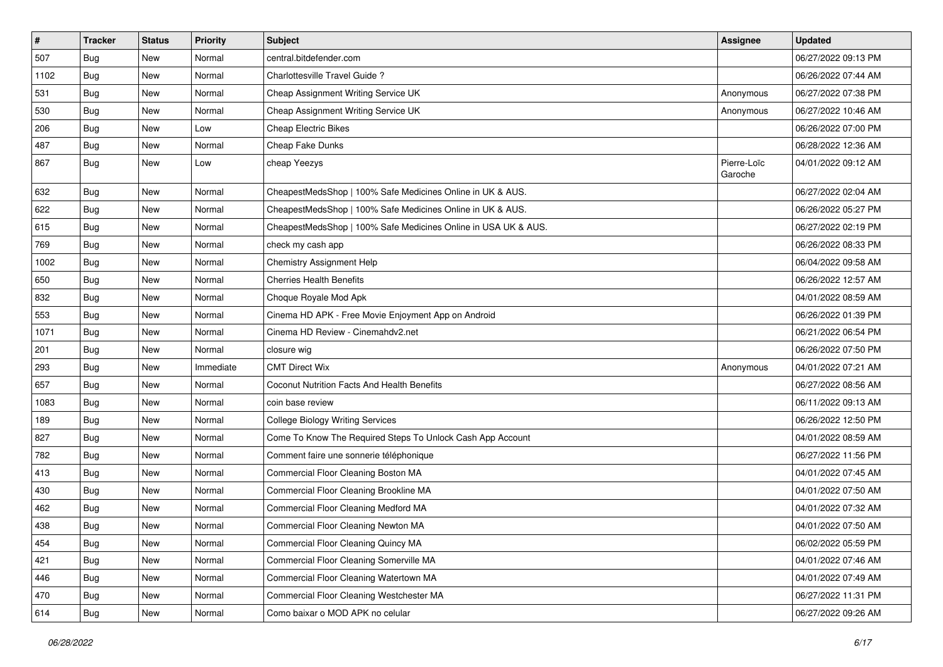| $\vert$ # | <b>Tracker</b> | <b>Status</b> | <b>Priority</b> | <b>Subject</b>                                                 | <b>Assignee</b>        | <b>Updated</b>      |
|-----------|----------------|---------------|-----------------|----------------------------------------------------------------|------------------------|---------------------|
| 507       | <b>Bug</b>     | New           | Normal          | central.bitdefender.com                                        |                        | 06/27/2022 09:13 PM |
| 1102      | Bug            | <b>New</b>    | Normal          | Charlottesville Travel Guide?                                  |                        | 06/26/2022 07:44 AM |
| 531       | Bug            | New           | Normal          | Cheap Assignment Writing Service UK                            | Anonymous              | 06/27/2022 07:38 PM |
| 530       | <b>Bug</b>     | New           | Normal          | Cheap Assignment Writing Service UK                            | Anonymous              | 06/27/2022 10:46 AM |
| 206       | Bug            | <b>New</b>    | Low             | <b>Cheap Electric Bikes</b>                                    |                        | 06/26/2022 07:00 PM |
| 487       | Bug            | New           | Normal          | Cheap Fake Dunks                                               |                        | 06/28/2022 12:36 AM |
| 867       | Bug            | New           | Low             | cheap Yeezys                                                   | Pierre-Loïc<br>Garoche | 04/01/2022 09:12 AM |
| 632       | Bug            | <b>New</b>    | Normal          | CheapestMedsShop   100% Safe Medicines Online in UK & AUS.     |                        | 06/27/2022 02:04 AM |
| 622       | Bug            | <b>New</b>    | Normal          | CheapestMedsShop   100% Safe Medicines Online in UK & AUS.     |                        | 06/26/2022 05:27 PM |
| 615       | Bug            | New           | Normal          | CheapestMedsShop   100% Safe Medicines Online in USA UK & AUS. |                        | 06/27/2022 02:19 PM |
| 769       | <b>Bug</b>     | New           | Normal          | check my cash app                                              |                        | 06/26/2022 08:33 PM |
| 1002      | Bug            | <b>New</b>    | Normal          | <b>Chemistry Assignment Help</b>                               |                        | 06/04/2022 09:58 AM |
| 650       | Bug            | New           | Normal          | <b>Cherries Health Benefits</b>                                |                        | 06/26/2022 12:57 AM |
| 832       | Bug            | <b>New</b>    | Normal          | Choque Royale Mod Apk                                          |                        | 04/01/2022 08:59 AM |
| 553       | Bug            | New           | Normal          | Cinema HD APK - Free Movie Enjoyment App on Android            |                        | 06/26/2022 01:39 PM |
| 1071      | Bug            | <b>New</b>    | Normal          | Cinema HD Review - Cinemahdv2.net                              |                        | 06/21/2022 06:54 PM |
| 201       | Bug            | <b>New</b>    | Normal          | closure wig                                                    |                        | 06/26/2022 07:50 PM |
| 293       | Bug            | New           | Immediate       | <b>CMT Direct Wix</b>                                          | Anonymous              | 04/01/2022 07:21 AM |
| 657       | Bug            | <b>New</b>    | Normal          | Coconut Nutrition Facts And Health Benefits                    |                        | 06/27/2022 08:56 AM |
| 1083      | Bug            | <b>New</b>    | Normal          | coin base review                                               |                        | 06/11/2022 09:13 AM |
| 189       | Bug            | <b>New</b>    | Normal          | <b>College Biology Writing Services</b>                        |                        | 06/26/2022 12:50 PM |
| 827       | Bug            | <b>New</b>    | Normal          | Come To Know The Required Steps To Unlock Cash App Account     |                        | 04/01/2022 08:59 AM |
| 782       | Bug            | New           | Normal          | Comment faire une sonnerie téléphonique                        |                        | 06/27/2022 11:56 PM |
| 413       | <b>Bug</b>     | New           | Normal          | Commercial Floor Cleaning Boston MA                            |                        | 04/01/2022 07:45 AM |
| 430       | Bug            | <b>New</b>    | Normal          | Commercial Floor Cleaning Brookline MA                         |                        | 04/01/2022 07:50 AM |
| 462       | <b>Bug</b>     | New           | Normal          | Commercial Floor Cleaning Medford MA                           |                        | 04/01/2022 07:32 AM |
| 438       | Bug            | New           | Normal          | Commercial Floor Cleaning Newton MA                            |                        | 04/01/2022 07:50 AM |
| 454       | <b>Bug</b>     | New           | Normal          | Commercial Floor Cleaning Quincy MA                            |                        | 06/02/2022 05:59 PM |
| 421       | <b>Bug</b>     | New           | Normal          | Commercial Floor Cleaning Somerville MA                        |                        | 04/01/2022 07:46 AM |
| 446       | <b>Bug</b>     | New           | Normal          | Commercial Floor Cleaning Watertown MA                         |                        | 04/01/2022 07:49 AM |
| 470       | <b>Bug</b>     | New           | Normal          | Commercial Floor Cleaning Westchester MA                       |                        | 06/27/2022 11:31 PM |
| 614       | <b>Bug</b>     | New           | Normal          | Como baixar o MOD APK no celular                               |                        | 06/27/2022 09:26 AM |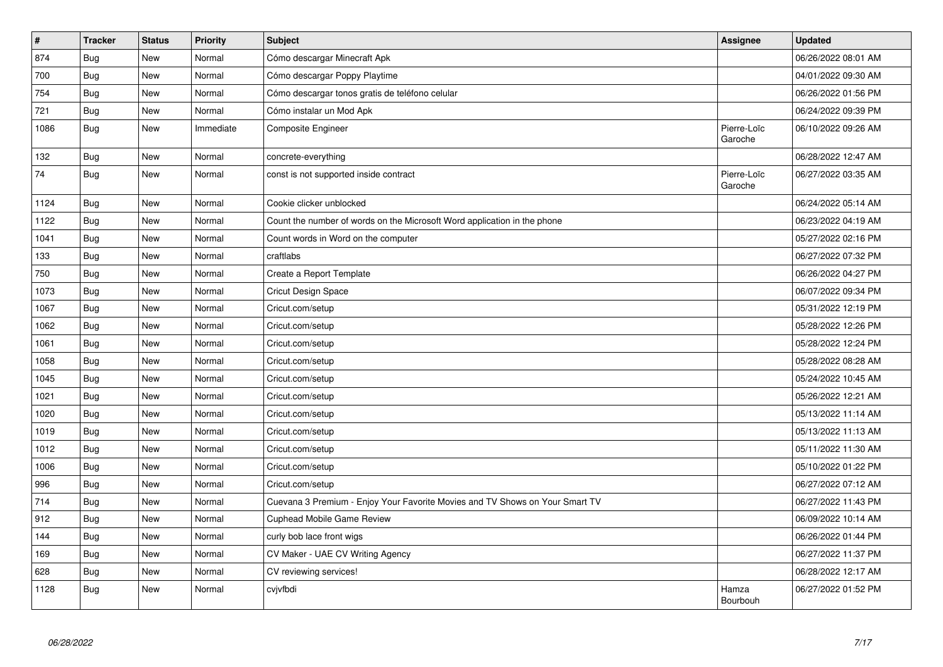| $\vert$ # | <b>Tracker</b> | <b>Status</b> | Priority  | <b>Subject</b>                                                               | <b>Assignee</b>        | <b>Updated</b>      |
|-----------|----------------|---------------|-----------|------------------------------------------------------------------------------|------------------------|---------------------|
| 874       | <b>Bug</b>     | <b>New</b>    | Normal    | Cómo descargar Minecraft Apk                                                 |                        | 06/26/2022 08:01 AM |
| 700       | Bug            | New           | Normal    | Cómo descargar Poppy Playtime                                                |                        | 04/01/2022 09:30 AM |
| 754       | Bug            | <b>New</b>    | Normal    | Cómo descargar tonos gratis de teléfono celular                              |                        | 06/26/2022 01:56 PM |
| 721       | <b>Bug</b>     | New           | Normal    | Cómo instalar un Mod Apk                                                     |                        | 06/24/2022 09:39 PM |
| 1086      | Bug            | <b>New</b>    | Immediate | Composite Engineer                                                           | Pierre-Loïc<br>Garoche | 06/10/2022 09:26 AM |
| 132       | Bug            | <b>New</b>    | Normal    | concrete-everything                                                          |                        | 06/28/2022 12:47 AM |
| 74        | Bug            | New           | Normal    | const is not supported inside contract                                       | Pierre-Loïc<br>Garoche | 06/27/2022 03:35 AM |
| 1124      | Bug            | New           | Normal    | Cookie clicker unblocked                                                     |                        | 06/24/2022 05:14 AM |
| 1122      | <b>Bug</b>     | New           | Normal    | Count the number of words on the Microsoft Word application in the phone     |                        | 06/23/2022 04:19 AM |
| 1041      | Bug            | New           | Normal    | Count words in Word on the computer                                          |                        | 05/27/2022 02:16 PM |
| 133       | Bug            | <b>New</b>    | Normal    | craftlabs                                                                    |                        | 06/27/2022 07:32 PM |
| 750       | <b>Bug</b>     | New           | Normal    | Create a Report Template                                                     |                        | 06/26/2022 04:27 PM |
| 1073      | Bug            | <b>New</b>    | Normal    | <b>Cricut Design Space</b>                                                   |                        | 06/07/2022 09:34 PM |
| 1067      | Bug            | New           | Normal    | Cricut.com/setup                                                             |                        | 05/31/2022 12:19 PM |
| 1062      | Bug            | <b>New</b>    | Normal    | Cricut.com/setup                                                             |                        | 05/28/2022 12:26 PM |
| 1061      | <b>Bug</b>     | New           | Normal    | Cricut.com/setup                                                             |                        | 05/28/2022 12:24 PM |
| 1058      | Bug            | New           | Normal    | Cricut.com/setup                                                             |                        | 05/28/2022 08:28 AM |
| 1045      | Bug            | New           | Normal    | Cricut.com/setup                                                             |                        | 05/24/2022 10:45 AM |
| 1021      | Bug            | <b>New</b>    | Normal    | Cricut.com/setup                                                             |                        | 05/26/2022 12:21 AM |
| 1020      | <b>Bug</b>     | <b>New</b>    | Normal    | Cricut.com/setup                                                             |                        | 05/13/2022 11:14 AM |
| 1019      | Bug            | New           | Normal    | Cricut.com/setup                                                             |                        | 05/13/2022 11:13 AM |
| 1012      | <b>Bug</b>     | <b>New</b>    | Normal    | Cricut.com/setup                                                             |                        | 05/11/2022 11:30 AM |
| 1006      | Bug            | New           | Normal    | Cricut.com/setup                                                             |                        | 05/10/2022 01:22 PM |
| 996       | Bug            | New           | Normal    | Cricut.com/setup                                                             |                        | 06/27/2022 07:12 AM |
| 714       | Bug            | New           | Normal    | Cuevana 3 Premium - Enjoy Your Favorite Movies and TV Shows on Your Smart TV |                        | 06/27/2022 11:43 PM |
| 912       | Bug            | <b>New</b>    | Normal    | <b>Cuphead Mobile Game Review</b>                                            |                        | 06/09/2022 10:14 AM |
| 144       | Bug            | New           | Normal    | curly bob lace front wigs                                                    |                        | 06/26/2022 01:44 PM |
| 169       | <b>Bug</b>     | New           | Normal    | CV Maker - UAE CV Writing Agency                                             |                        | 06/27/2022 11:37 PM |
| 628       | Bug            | New           | Normal    | CV reviewing services!                                                       |                        | 06/28/2022 12:17 AM |
| 1128      | Bug            | New           | Normal    | cvjvfbdi                                                                     | Hamza<br>Bourbouh      | 06/27/2022 01:52 PM |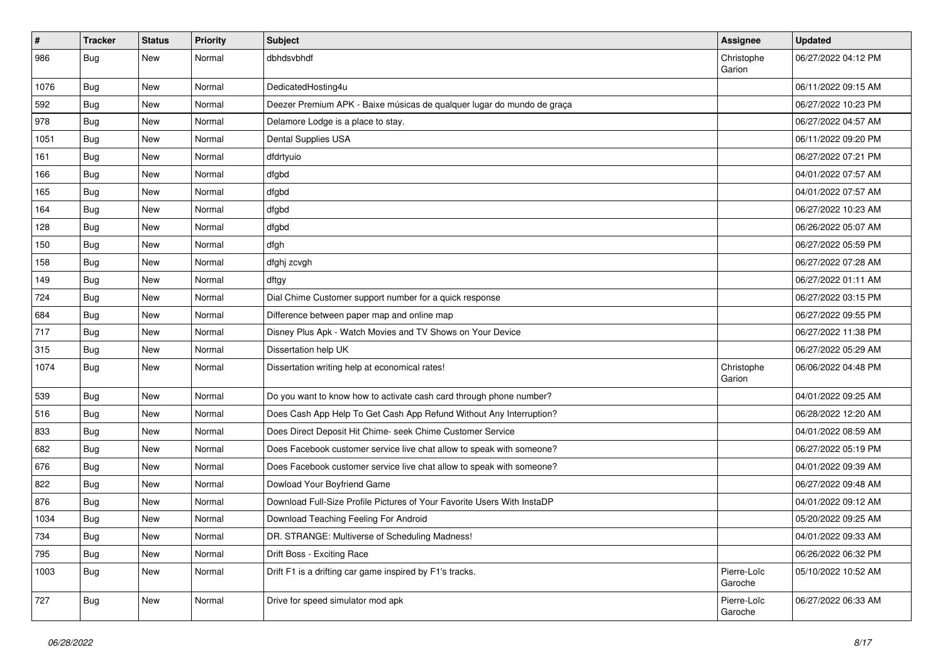| #    | Tracker    | <b>Status</b> | <b>Priority</b> | <b>Subject</b>                                                          | <b>Assignee</b>        | <b>Updated</b>      |
|------|------------|---------------|-----------------|-------------------------------------------------------------------------|------------------------|---------------------|
| 986  | <b>Bug</b> | New           | Normal          | dbhdsvbhdf                                                              | Christophe<br>Garion   | 06/27/2022 04:12 PM |
| 1076 | Bug        | New           | Normal          | DedicatedHosting4u                                                      |                        | 06/11/2022 09:15 AM |
| 592  | Bug        | New           | Normal          | Deezer Premium APK - Baixe músicas de qualquer lugar do mundo de graça  |                        | 06/27/2022 10:23 PM |
| 978  | Bug        | New           | Normal          | Delamore Lodge is a place to stay.                                      |                        | 06/27/2022 04:57 AM |
| 1051 | Bug        | New           | Normal          | Dental Supplies USA                                                     |                        | 06/11/2022 09:20 PM |
| 161  | Bug        | New           | Normal          | dfdrtyuio                                                               |                        | 06/27/2022 07:21 PM |
| 166  | Bug        | New           | Normal          | dfgbd                                                                   |                        | 04/01/2022 07:57 AM |
| 165  | <b>Bug</b> | New           | Normal          | dfgbd                                                                   |                        | 04/01/2022 07:57 AM |
| 164  | Bug        | <b>New</b>    | Normal          | dfgbd                                                                   |                        | 06/27/2022 10:23 AM |
| 128  | <b>Bug</b> | New           | Normal          | dfgbd                                                                   |                        | 06/26/2022 05:07 AM |
| 150  | Bug        | New           | Normal          | dfgh                                                                    |                        | 06/27/2022 05:59 PM |
| 158  | Bug        | New           | Normal          | dfghj zcvgh                                                             |                        | 06/27/2022 07:28 AM |
| 149  | <b>Bug</b> | New           | Normal          | dftgy                                                                   |                        | 06/27/2022 01:11 AM |
| 724  | Bug        | <b>New</b>    | Normal          | Dial Chime Customer support number for a quick response                 |                        | 06/27/2022 03:15 PM |
| 684  | Bug        | New           | Normal          | Difference between paper map and online map                             |                        | 06/27/2022 09:55 PM |
| 717  | Bug        | New           | Normal          | Disney Plus Apk - Watch Movies and TV Shows on Your Device              |                        | 06/27/2022 11:38 PM |
| 315  | Bug        | New           | Normal          | Dissertation help UK                                                    |                        | 06/27/2022 05:29 AM |
| 1074 | Bug        | New           | Normal          | Dissertation writing help at economical rates!                          | Christophe<br>Garion   | 06/06/2022 04:48 PM |
| 539  | Bug        | New           | Normal          | Do you want to know how to activate cash card through phone number?     |                        | 04/01/2022 09:25 AM |
| 516  | Bug        | New           | Normal          | Does Cash App Help To Get Cash App Refund Without Any Interruption?     |                        | 06/28/2022 12:20 AM |
| 833  | Bug        | <b>New</b>    | Normal          | Does Direct Deposit Hit Chime- seek Chime Customer Service              |                        | 04/01/2022 08:59 AM |
| 682  | <b>Bug</b> | New           | Normal          | Does Facebook customer service live chat allow to speak with someone?   |                        | 06/27/2022 05:19 PM |
| 676  | Bug        | New           | Normal          | Does Facebook customer service live chat allow to speak with someone?   |                        | 04/01/2022 09:39 AM |
| 822  | Bug        | New           | Normal          | Dowload Your Boyfriend Game                                             |                        | 06/27/2022 09:48 AM |
| 876  | <b>Bug</b> | New           | Normal          | Download Full-Size Profile Pictures of Your Favorite Users With InstaDP |                        | 04/01/2022 09:12 AM |
| 1034 | <b>Bug</b> | New           | Normal          | Download Teaching Feeling For Android                                   |                        | 05/20/2022 09:25 AM |
| 734  | <b>Bug</b> | New           | Normal          | DR. STRANGE: Multiverse of Scheduling Madness!                          |                        | 04/01/2022 09:33 AM |
| 795  | Bug        | New           | Normal          | Drift Boss - Exciting Race                                              |                        | 06/26/2022 06:32 PM |
| 1003 | Bug        | New           | Normal          | Drift F1 is a drifting car game inspired by F1's tracks.                | Pierre-Loïc<br>Garoche | 05/10/2022 10:52 AM |
| 727  | Bug        | New           | Normal          | Drive for speed simulator mod apk                                       | Pierre-Loïc<br>Garoche | 06/27/2022 06:33 AM |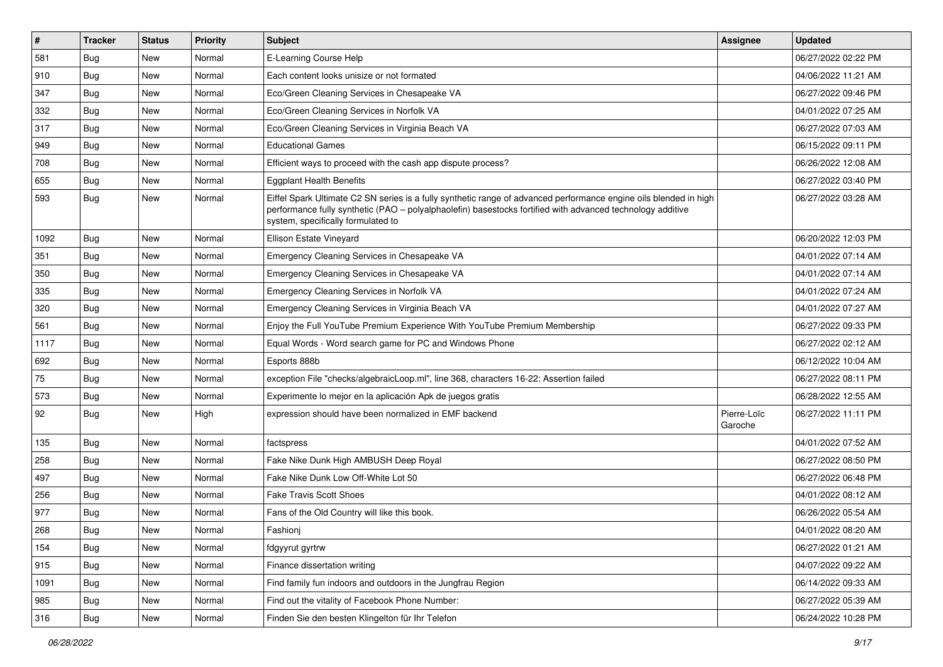| $\sharp$ | <b>Tracker</b> | <b>Status</b> | <b>Priority</b> | Subject                                                                                                                                                                                                                                                               | <b>Assignee</b>        | <b>Updated</b>      |
|----------|----------------|---------------|-----------------|-----------------------------------------------------------------------------------------------------------------------------------------------------------------------------------------------------------------------------------------------------------------------|------------------------|---------------------|
| 581      | Bug            | New           | Normal          | E-Learning Course Help                                                                                                                                                                                                                                                |                        | 06/27/2022 02:22 PM |
| 910      | Bug            | <b>New</b>    | Normal          | Each content looks unisize or not formated                                                                                                                                                                                                                            |                        | 04/06/2022 11:21 AM |
| 347      | <b>Bug</b>     | <b>New</b>    | Normal          | Eco/Green Cleaning Services in Chesapeake VA                                                                                                                                                                                                                          |                        | 06/27/2022 09:46 PM |
| 332      | <b>Bug</b>     | <b>New</b>    | Normal          | Eco/Green Cleaning Services in Norfolk VA                                                                                                                                                                                                                             |                        | 04/01/2022 07:25 AM |
| 317      | Bug            | <b>New</b>    | Normal          | Eco/Green Cleaning Services in Virginia Beach VA                                                                                                                                                                                                                      |                        | 06/27/2022 07:03 AM |
| 949      | <b>Bug</b>     | <b>New</b>    | Normal          | <b>Educational Games</b>                                                                                                                                                                                                                                              |                        | 06/15/2022 09:11 PM |
| 708      | Bug            | <b>New</b>    | Normal          | Efficient ways to proceed with the cash app dispute process?                                                                                                                                                                                                          |                        | 06/26/2022 12:08 AM |
| 655      | Bug            | <b>New</b>    | Normal          | <b>Eggplant Health Benefits</b>                                                                                                                                                                                                                                       |                        | 06/27/2022 03:40 PM |
| 593      | Bug            | <b>New</b>    | Normal          | Eiffel Spark Ultimate C2 SN series is a fully synthetic range of advanced performance engine oils blended in high<br>performance fully synthetic (PAO – polyalphaolefin) basestocks fortified with advanced technology additive<br>system, specifically formulated to |                        | 06/27/2022 03:28 AM |
| 1092     | Bug            | <b>New</b>    | Normal          | Ellison Estate Vineyard                                                                                                                                                                                                                                               |                        | 06/20/2022 12:03 PM |
| 351      | Bug            | <b>New</b>    | Normal          | Emergency Cleaning Services in Chesapeake VA                                                                                                                                                                                                                          |                        | 04/01/2022 07:14 AM |
| 350      | <b>Bug</b>     | <b>New</b>    | Normal          | Emergency Cleaning Services in Chesapeake VA                                                                                                                                                                                                                          |                        | 04/01/2022 07:14 AM |
| 335      | Bug            | <b>New</b>    | Normal          | Emergency Cleaning Services in Norfolk VA                                                                                                                                                                                                                             |                        | 04/01/2022 07:24 AM |
| 320      | <b>Bug</b>     | <b>New</b>    | Normal          | Emergency Cleaning Services in Virginia Beach VA                                                                                                                                                                                                                      |                        | 04/01/2022 07:27 AM |
| 561      | Bug            | <b>New</b>    | Normal          | Enjoy the Full YouTube Premium Experience With YouTube Premium Membership                                                                                                                                                                                             |                        | 06/27/2022 09:33 PM |
| 1117     | Bug            | <b>New</b>    | Normal          | Equal Words - Word search game for PC and Windows Phone                                                                                                                                                                                                               |                        | 06/27/2022 02:12 AM |
| 692      | Bug            | <b>New</b>    | Normal          | Esports 888b                                                                                                                                                                                                                                                          |                        | 06/12/2022 10:04 AM |
| 75       | Bug            | <b>New</b>    | Normal          | exception File "checks/algebraicLoop.ml", line 368, characters 16-22: Assertion failed                                                                                                                                                                                |                        | 06/27/2022 08:11 PM |
| 573      | Bug            | <b>New</b>    | Normal          | Experimente lo mejor en la aplicación Apk de juegos gratis                                                                                                                                                                                                            |                        | 06/28/2022 12:55 AM |
| 92       | Bug            | <b>New</b>    | High            | expression should have been normalized in EMF backend                                                                                                                                                                                                                 | Pierre-Loïc<br>Garoche | 06/27/2022 11:11 PM |
| 135      | Bug            | New           | Normal          | factspress                                                                                                                                                                                                                                                            |                        | 04/01/2022 07:52 AM |
| 258      | Bug            | <b>New</b>    | Normal          | Fake Nike Dunk High AMBUSH Deep Royal                                                                                                                                                                                                                                 |                        | 06/27/2022 08:50 PM |
| 497      | Bug            | <b>New</b>    | Normal          | Fake Nike Dunk Low Off-White Lot 50                                                                                                                                                                                                                                   |                        | 06/27/2022 06:48 PM |
| 256      | <b>Bug</b>     | <b>New</b>    | Normal          | <b>Fake Travis Scott Shoes</b>                                                                                                                                                                                                                                        |                        | 04/01/2022 08:12 AM |
| 977      | Bug            | <b>New</b>    | Normal          | Fans of the Old Country will like this book.                                                                                                                                                                                                                          |                        | 06/26/2022 05:54 AM |
| 268      | Bug            | New           | Normal          | Fashionj                                                                                                                                                                                                                                                              |                        | 04/01/2022 08:20 AM |
| 154      | Bug            | New           | Normal          | fdgyyrut gyrtrw                                                                                                                                                                                                                                                       |                        | 06/27/2022 01:21 AM |
| 915      | Bug            | New           | Normal          | Finance dissertation writing                                                                                                                                                                                                                                          |                        | 04/07/2022 09:22 AM |
| 1091     | Bug            | New           | Normal          | Find family fun indoors and outdoors in the Jungfrau Region                                                                                                                                                                                                           |                        | 06/14/2022 09:33 AM |
| 985      | Bug            | New           | Normal          | Find out the vitality of Facebook Phone Number:                                                                                                                                                                                                                       |                        | 06/27/2022 05:39 AM |
| 316      | <b>Bug</b>     | New           | Normal          | Finden Sie den besten Klingelton für Ihr Telefon                                                                                                                                                                                                                      |                        | 06/24/2022 10:28 PM |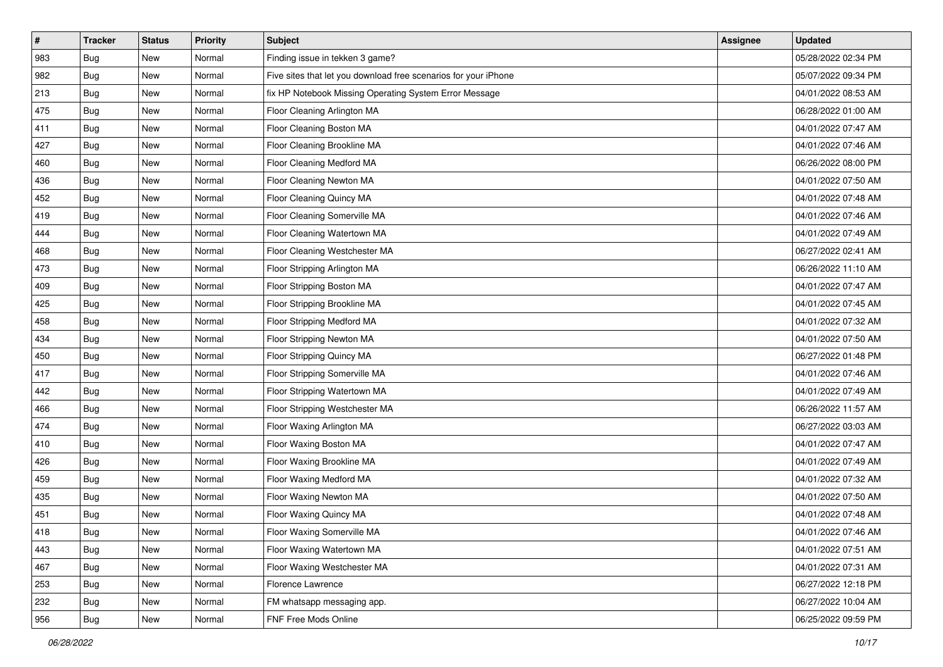| $\sharp$ | <b>Tracker</b> | <b>Status</b> | <b>Priority</b> | <b>Subject</b>                                                  | <b>Assignee</b> | <b>Updated</b>      |
|----------|----------------|---------------|-----------------|-----------------------------------------------------------------|-----------------|---------------------|
| 983      | Bug            | New           | Normal          | Finding issue in tekken 3 game?                                 |                 | 05/28/2022 02:34 PM |
| 982      | Bug            | New           | Normal          | Five sites that let you download free scenarios for your iPhone |                 | 05/07/2022 09:34 PM |
| 213      | <b>Bug</b>     | New           | Normal          | fix HP Notebook Missing Operating System Error Message          |                 | 04/01/2022 08:53 AM |
| 475      | Bug            | <b>New</b>    | Normal          | Floor Cleaning Arlington MA                                     |                 | 06/28/2022 01:00 AM |
| 411      | Bug            | <b>New</b>    | Normal          | Floor Cleaning Boston MA                                        |                 | 04/01/2022 07:47 AM |
| 427      | <b>Bug</b>     | New           | Normal          | Floor Cleaning Brookline MA                                     |                 | 04/01/2022 07:46 AM |
| 460      | Bug            | New           | Normal          | Floor Cleaning Medford MA                                       |                 | 06/26/2022 08:00 PM |
| 436      | Bug            | New           | Normal          | Floor Cleaning Newton MA                                        |                 | 04/01/2022 07:50 AM |
| 452      | <b>Bug</b>     | New           | Normal          | Floor Cleaning Quincy MA                                        |                 | 04/01/2022 07:48 AM |
| 419      | Bug            | <b>New</b>    | Normal          | Floor Cleaning Somerville MA                                    |                 | 04/01/2022 07:46 AM |
| 444      | Bug            | New           | Normal          | Floor Cleaning Watertown MA                                     |                 | 04/01/2022 07:49 AM |
| 468      | Bug            | New           | Normal          | Floor Cleaning Westchester MA                                   |                 | 06/27/2022 02:41 AM |
| 473      | Bug            | <b>New</b>    | Normal          | Floor Stripping Arlington MA                                    |                 | 06/26/2022 11:10 AM |
| 409      | Bug            | New           | Normal          | Floor Stripping Boston MA                                       |                 | 04/01/2022 07:47 AM |
| 425      | Bug            | New           | Normal          | Floor Stripping Brookline MA                                    |                 | 04/01/2022 07:45 AM |
| 458      | Bug            | New           | Normal          | Floor Stripping Medford MA                                      |                 | 04/01/2022 07:32 AM |
| 434      | Bug            | New           | Normal          | Floor Stripping Newton MA                                       |                 | 04/01/2022 07:50 AM |
| 450      | Bug            | <b>New</b>    | Normal          | Floor Stripping Quincy MA                                       |                 | 06/27/2022 01:48 PM |
| 417      | Bug            | New           | Normal          | Floor Stripping Somerville MA                                   |                 | 04/01/2022 07:46 AM |
| 442      | Bug            | New           | Normal          | Floor Stripping Watertown MA                                    |                 | 04/01/2022 07:49 AM |
| 466      | Bug            | New           | Normal          | Floor Stripping Westchester MA                                  |                 | 06/26/2022 11:57 AM |
| 474      | <b>Bug</b>     | New           | Normal          | Floor Waxing Arlington MA                                       |                 | 06/27/2022 03:03 AM |
| 410      | Bug            | <b>New</b>    | Normal          | Floor Waxing Boston MA                                          |                 | 04/01/2022 07:47 AM |
| 426      | <b>Bug</b>     | New           | Normal          | Floor Waxing Brookline MA                                       |                 | 04/01/2022 07:49 AM |
| 459      | <b>Bug</b>     | New           | Normal          | Floor Waxing Medford MA                                         |                 | 04/01/2022 07:32 AM |
| 435      | <b>Bug</b>     | New           | Normal          | Floor Waxing Newton MA                                          |                 | 04/01/2022 07:50 AM |
| 451      | Bug            | New           | Normal          | Floor Waxing Quincy MA                                          |                 | 04/01/2022 07:48 AM |
| 418      | <b>Bug</b>     | New           | Normal          | Floor Waxing Somerville MA                                      |                 | 04/01/2022 07:46 AM |
| 443      | Bug            | New           | Normal          | Floor Waxing Watertown MA                                       |                 | 04/01/2022 07:51 AM |
| 467      | Bug            | New           | Normal          | Floor Waxing Westchester MA                                     |                 | 04/01/2022 07:31 AM |
| 253      | Bug            | New           | Normal          | Florence Lawrence                                               |                 | 06/27/2022 12:18 PM |
| 232      | Bug            | New           | Normal          | FM whatsapp messaging app.                                      |                 | 06/27/2022 10:04 AM |
| 956      | <b>Bug</b>     | New           | Normal          | FNF Free Mods Online                                            |                 | 06/25/2022 09:59 PM |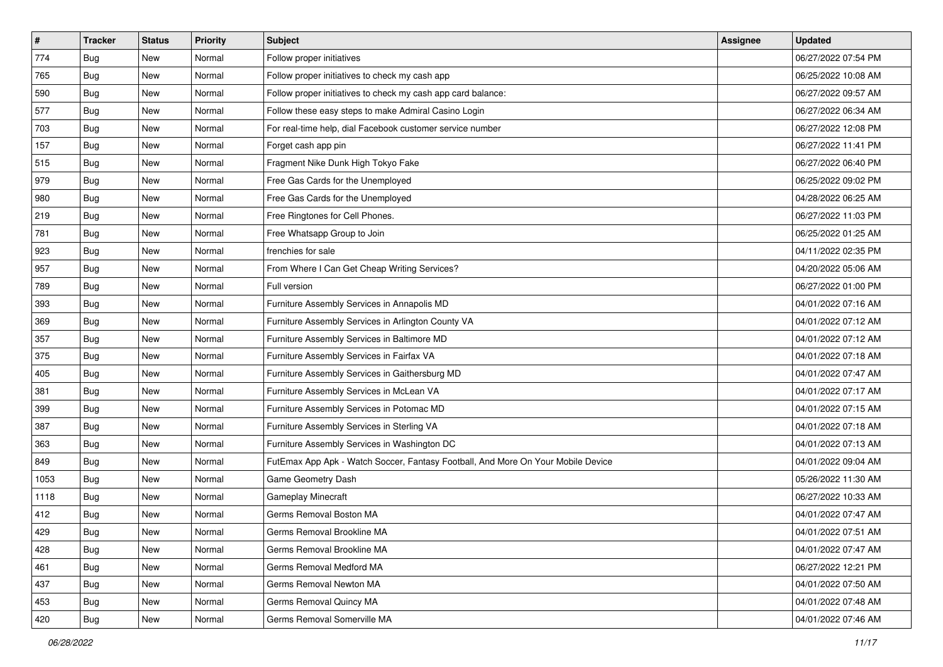| $\sharp$ | <b>Tracker</b> | <b>Status</b> | <b>Priority</b> | Subject                                                                          | <b>Assignee</b> | <b>Updated</b>      |
|----------|----------------|---------------|-----------------|----------------------------------------------------------------------------------|-----------------|---------------------|
| 774      | <b>Bug</b>     | New           | Normal          | Follow proper initiatives                                                        |                 | 06/27/2022 07:54 PM |
| 765      | Bug            | New           | Normal          | Follow proper initiatives to check my cash app                                   |                 | 06/25/2022 10:08 AM |
| 590      | <b>Bug</b>     | New           | Normal          | Follow proper initiatives to check my cash app card balance:                     |                 | 06/27/2022 09:57 AM |
| 577      | Bug            | <b>New</b>    | Normal          | Follow these easy steps to make Admiral Casino Login                             |                 | 06/27/2022 06:34 AM |
| 703      | Bug            | <b>New</b>    | Normal          | For real-time help, dial Facebook customer service number                        |                 | 06/27/2022 12:08 PM |
| 157      | <b>Bug</b>     | New           | Normal          | Forget cash app pin                                                              |                 | 06/27/2022 11:41 PM |
| 515      | Bug            | New           | Normal          | Fragment Nike Dunk High Tokyo Fake                                               |                 | 06/27/2022 06:40 PM |
| 979      | Bug            | New           | Normal          | Free Gas Cards for the Unemployed                                                |                 | 06/25/2022 09:02 PM |
| 980      | <b>Bug</b>     | New           | Normal          | Free Gas Cards for the Unemployed                                                |                 | 04/28/2022 06:25 AM |
| 219      | Bug            | <b>New</b>    | Normal          | Free Ringtones for Cell Phones.                                                  |                 | 06/27/2022 11:03 PM |
| 781      | <b>Bug</b>     | New           | Normal          | Free Whatsapp Group to Join                                                      |                 | 06/25/2022 01:25 AM |
| 923      | <b>Bug</b>     | New           | Normal          | frenchies for sale                                                               |                 | 04/11/2022 02:35 PM |
| 957      | Bug            | <b>New</b>    | Normal          | From Where I Can Get Cheap Writing Services?                                     |                 | 04/20/2022 05:06 AM |
| 789      | <b>Bug</b>     | New           | Normal          | Full version                                                                     |                 | 06/27/2022 01:00 PM |
| 393      | Bug            | <b>New</b>    | Normal          | Furniture Assembly Services in Annapolis MD                                      |                 | 04/01/2022 07:16 AM |
| 369      | <b>Bug</b>     | New           | Normal          | Furniture Assembly Services in Arlington County VA                               |                 | 04/01/2022 07:12 AM |
| 357      | Bug            | <b>New</b>    | Normal          | Furniture Assembly Services in Baltimore MD                                      |                 | 04/01/2022 07:12 AM |
| 375      | Bug            | <b>New</b>    | Normal          | Furniture Assembly Services in Fairfax VA                                        |                 | 04/01/2022 07:18 AM |
| 405      | <b>Bug</b>     | New           | Normal          | Furniture Assembly Services in Gaithersburg MD                                   |                 | 04/01/2022 07:47 AM |
| 381      | Bug            | <b>New</b>    | Normal          | Furniture Assembly Services in McLean VA                                         |                 | 04/01/2022 07:17 AM |
| 399      | Bug            | New           | Normal          | Furniture Assembly Services in Potomac MD                                        |                 | 04/01/2022 07:15 AM |
| 387      | <b>Bug</b>     | <b>New</b>    | Normal          | Furniture Assembly Services in Sterling VA                                       |                 | 04/01/2022 07:18 AM |
| 363      | Bug            | <b>New</b>    | Normal          | Furniture Assembly Services in Washington DC                                     |                 | 04/01/2022 07:13 AM |
| 849      | Bug            | New           | Normal          | FutEmax App Apk - Watch Soccer, Fantasy Football, And More On Your Mobile Device |                 | 04/01/2022 09:04 AM |
| 1053     | Bug            | New           | Normal          | Game Geometry Dash                                                               |                 | 05/26/2022 11:30 AM |
| 1118     | <b>Bug</b>     | <b>New</b>    | Normal          | Gameplay Minecraft                                                               |                 | 06/27/2022 10:33 AM |
| 412      | Bug            | New           | Normal          | Germs Removal Boston MA                                                          |                 | 04/01/2022 07:47 AM |
| 429      | <b>Bug</b>     | New           | Normal          | Germs Removal Brookline MA                                                       |                 | 04/01/2022 07:51 AM |
| 428      | Bug            | New           | Normal          | Germs Removal Brookline MA                                                       |                 | 04/01/2022 07:47 AM |
| 461      | Bug            | New           | Normal          | Germs Removal Medford MA                                                         |                 | 06/27/2022 12:21 PM |
| 437      | Bug            | New           | Normal          | Germs Removal Newton MA                                                          |                 | 04/01/2022 07:50 AM |
| 453      | Bug            | New           | Normal          | Germs Removal Quincy MA                                                          |                 | 04/01/2022 07:48 AM |
| 420      | <b>Bug</b>     | New           | Normal          | Germs Removal Somerville MA                                                      |                 | 04/01/2022 07:46 AM |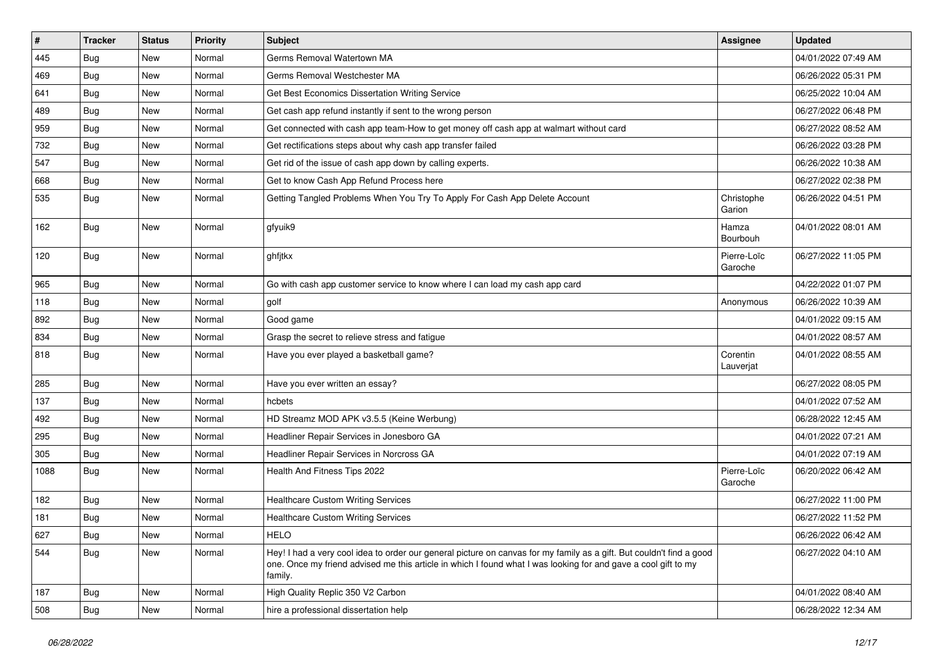| $\vert$ # | <b>Tracker</b> | <b>Status</b> | <b>Priority</b> | Subject                                                                                                                                                                                                                                           | <b>Assignee</b>        | <b>Updated</b>      |
|-----------|----------------|---------------|-----------------|---------------------------------------------------------------------------------------------------------------------------------------------------------------------------------------------------------------------------------------------------|------------------------|---------------------|
| 445       | <b>Bug</b>     | New           | Normal          | Germs Removal Watertown MA                                                                                                                                                                                                                        |                        | 04/01/2022 07:49 AM |
| 469       | Bug            | <b>New</b>    | Normal          | Germs Removal Westchester MA                                                                                                                                                                                                                      |                        | 06/26/2022 05:31 PM |
| 641       | Bug            | New           | Normal          | Get Best Economics Dissertation Writing Service                                                                                                                                                                                                   |                        | 06/25/2022 10:04 AM |
| 489       | Bug            | New           | Normal          | Get cash app refund instantly if sent to the wrong person                                                                                                                                                                                         |                        | 06/27/2022 06:48 PM |
| 959       | Bug            | <b>New</b>    | Normal          | Get connected with cash app team-How to get money off cash app at walmart without card                                                                                                                                                            |                        | 06/27/2022 08:52 AM |
| 732       | <b>Bug</b>     | New           | Normal          | Get rectifications steps about why cash app transfer failed                                                                                                                                                                                       |                        | 06/26/2022 03:28 PM |
| 547       | Bug            | New           | Normal          | Get rid of the issue of cash app down by calling experts.                                                                                                                                                                                         |                        | 06/26/2022 10:38 AM |
| 668       | Bug            | New           | Normal          | Get to know Cash App Refund Process here                                                                                                                                                                                                          |                        | 06/27/2022 02:38 PM |
| 535       | Bug            | New           | Normal          | Getting Tangled Problems When You Try To Apply For Cash App Delete Account                                                                                                                                                                        | Christophe<br>Garion   | 06/26/2022 04:51 PM |
| 162       | Bug            | <b>New</b>    | Normal          | gfyuik9                                                                                                                                                                                                                                           | Hamza<br>Bourbouh      | 04/01/2022 08:01 AM |
| 120       | Bug            | New           | Normal          | ghfjtkx                                                                                                                                                                                                                                           | Pierre-Loïc<br>Garoche | 06/27/2022 11:05 PM |
| 965       | Bug            | <b>New</b>    | Normal          | Go with cash app customer service to know where I can load my cash app card                                                                                                                                                                       |                        | 04/22/2022 01:07 PM |
| 118       | Bug            | <b>New</b>    | Normal          | golf                                                                                                                                                                                                                                              | Anonymous              | 06/26/2022 10:39 AM |
| 892       | Bug            | New           | Normal          | Good game                                                                                                                                                                                                                                         |                        | 04/01/2022 09:15 AM |
| 834       | Bug            | <b>New</b>    | Normal          | Grasp the secret to relieve stress and fatigue                                                                                                                                                                                                    |                        | 04/01/2022 08:57 AM |
| 818       | Bug            | New           | Normal          | Have you ever played a basketball game?                                                                                                                                                                                                           | Corentin<br>Lauverjat  | 04/01/2022 08:55 AM |
| 285       | Bug            | <b>New</b>    | Normal          | Have you ever written an essay?                                                                                                                                                                                                                   |                        | 06/27/2022 08:05 PM |
| 137       | <b>Bug</b>     | New           | Normal          | hcbets                                                                                                                                                                                                                                            |                        | 04/01/2022 07:52 AM |
| 492       | Bug            | <b>New</b>    | Normal          | HD Streamz MOD APK v3.5.5 (Keine Werbung)                                                                                                                                                                                                         |                        | 06/28/2022 12:45 AM |
| 295       | <b>Bug</b>     | New           | Normal          | Headliner Repair Services in Jonesboro GA                                                                                                                                                                                                         |                        | 04/01/2022 07:21 AM |
| 305       | Bug            | New           | Normal          | Headliner Repair Services in Norcross GA                                                                                                                                                                                                          |                        | 04/01/2022 07:19 AM |
| 1088      | Bug            | <b>New</b>    | Normal          | Health And Fitness Tips 2022                                                                                                                                                                                                                      | Pierre-Loïc<br>Garoche | 06/20/2022 06:42 AM |
| 182       | Bug            | <b>New</b>    | Normal          | <b>Healthcare Custom Writing Services</b>                                                                                                                                                                                                         |                        | 06/27/2022 11:00 PM |
| 181       | Bug            | <b>New</b>    | Normal          | <b>Healthcare Custom Writing Services</b>                                                                                                                                                                                                         |                        | 06/27/2022 11:52 PM |
| 627       | Bug            | New           | Normal          | <b>HELO</b>                                                                                                                                                                                                                                       |                        | 06/26/2022 06:42 AM |
| 544       | Bug            | New           | Normal          | Hey! I had a very cool idea to order our general picture on canvas for my family as a gift. But couldn't find a good<br>one. Once my friend advised me this article in which I found what I was looking for and gave a cool gift to my<br>family. |                        | 06/27/2022 04:10 AM |
| 187       | <b>Bug</b>     | New           | Normal          | High Quality Replic 350 V2 Carbon                                                                                                                                                                                                                 |                        | 04/01/2022 08:40 AM |
| 508       | <b>Bug</b>     | New           | Normal          | hire a professional dissertation help                                                                                                                                                                                                             |                        | 06/28/2022 12:34 AM |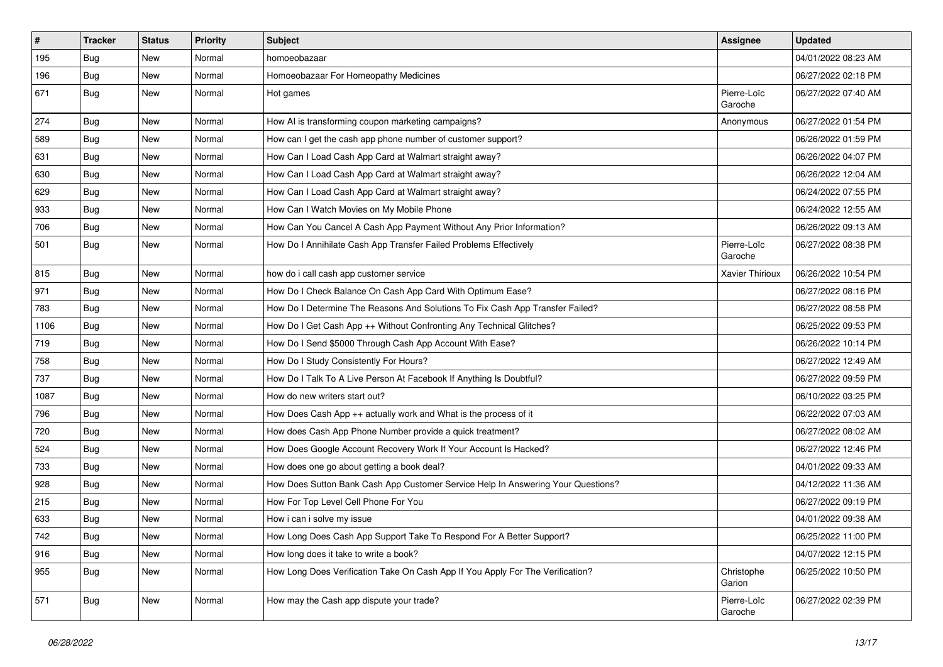| $\pmb{\#}$ | Tracker    | <b>Status</b> | <b>Priority</b> | <b>Subject</b>                                                                   | <b>Assignee</b>        | <b>Updated</b>      |
|------------|------------|---------------|-----------------|----------------------------------------------------------------------------------|------------------------|---------------------|
| 195        | Bug        | New           | Normal          | homoeobazaar                                                                     |                        | 04/01/2022 08:23 AM |
| 196        | Bug        | New           | Normal          | Homoeobazaar For Homeopathy Medicines                                            |                        | 06/27/2022 02:18 PM |
| 671        | Bug        | <b>New</b>    | Normal          | Hot games                                                                        | Pierre-Loïc<br>Garoche | 06/27/2022 07:40 AM |
| 274        | Bug        | New           | Normal          | How AI is transforming coupon marketing campaigns?                               | Anonymous              | 06/27/2022 01:54 PM |
| 589        | <b>Bug</b> | New           | Normal          | How can I get the cash app phone number of customer support?                     |                        | 06/26/2022 01:59 PM |
| 631        | Bug        | <b>New</b>    | Normal          | How Can I Load Cash App Card at Walmart straight away?                           |                        | 06/26/2022 04:07 PM |
| 630        | Bug        | New           | Normal          | How Can I Load Cash App Card at Walmart straight away?                           |                        | 06/26/2022 12:04 AM |
| 629        | Bug        | New           | Normal          | How Can I Load Cash App Card at Walmart straight away?                           |                        | 06/24/2022 07:55 PM |
| 933        | Bug        | <b>New</b>    | Normal          | How Can I Watch Movies on My Mobile Phone                                        |                        | 06/24/2022 12:55 AM |
| 706        | <b>Bug</b> | New           | Normal          | How Can You Cancel A Cash App Payment Without Any Prior Information?             |                        | 06/26/2022 09:13 AM |
| 501        | Bug        | New           | Normal          | How Do I Annihilate Cash App Transfer Failed Problems Effectively                | Pierre-Loïc<br>Garoche | 06/27/2022 08:38 PM |
| 815        | Bug        | New           | Normal          | how do i call cash app customer service                                          | Xavier Thirioux        | 06/26/2022 10:54 PM |
| 971        | <b>Bug</b> | <b>New</b>    | Normal          | How Do I Check Balance On Cash App Card With Optimum Ease?                       |                        | 06/27/2022 08:16 PM |
| 783        | Bug        | New           | Normal          | How Do I Determine The Reasons And Solutions To Fix Cash App Transfer Failed?    |                        | 06/27/2022 08:58 PM |
| 1106       | Bug        | New           | Normal          | How Do I Get Cash App ++ Without Confronting Any Technical Glitches?             |                        | 06/25/2022 09:53 PM |
| 719        | Bug        | New           | Normal          | How Do I Send \$5000 Through Cash App Account With Ease?                         |                        | 06/26/2022 10:14 PM |
| 758        | Bug        | New           | Normal          | How Do I Study Consistently For Hours?                                           |                        | 06/27/2022 12:49 AM |
| 737        | <b>Bug</b> | New           | Normal          | How Do I Talk To A Live Person At Facebook If Anything Is Doubtful?              |                        | 06/27/2022 09:59 PM |
| 1087       | <b>Bug</b> | New           | Normal          | How do new writers start out?                                                    |                        | 06/10/2022 03:25 PM |
| 796        | <b>Bug</b> | <b>New</b>    | Normal          | How Does Cash App ++ actually work and What is the process of it                 |                        | 06/22/2022 07:03 AM |
| 720        | Bug        | New           | Normal          | How does Cash App Phone Number provide a quick treatment?                        |                        | 06/27/2022 08:02 AM |
| 524        | <b>Bug</b> | New           | Normal          | How Does Google Account Recovery Work If Your Account Is Hacked?                 |                        | 06/27/2022 12:46 PM |
| 733        | Bug        | New           | Normal          | How does one go about getting a book deal?                                       |                        | 04/01/2022 09:33 AM |
| 928        | Bug        | New           | Normal          | How Does Sutton Bank Cash App Customer Service Help In Answering Your Questions? |                        | 04/12/2022 11:36 AM |
| 215        | <b>Bug</b> | New           | Normal          | How For Top Level Cell Phone For You                                             |                        | 06/27/2022 09:19 PM |
| 633        | <b>Bug</b> | New           | Normal          | How i can i solve my issue                                                       |                        | 04/01/2022 09:38 AM |
| 742        | Bug        | New           | Normal          | How Long Does Cash App Support Take To Respond For A Better Support?             |                        | 06/25/2022 11:00 PM |
| 916        | Bug        | New           | Normal          | How long does it take to write a book?                                           |                        | 04/07/2022 12:15 PM |
| 955        | Bug        | New           | Normal          | How Long Does Verification Take On Cash App If You Apply For The Verification?   | Christophe<br>Garion   | 06/25/2022 10:50 PM |
| 571        | <b>Bug</b> | New           | Normal          | How may the Cash app dispute your trade?                                         | Pierre-Loïc<br>Garoche | 06/27/2022 02:39 PM |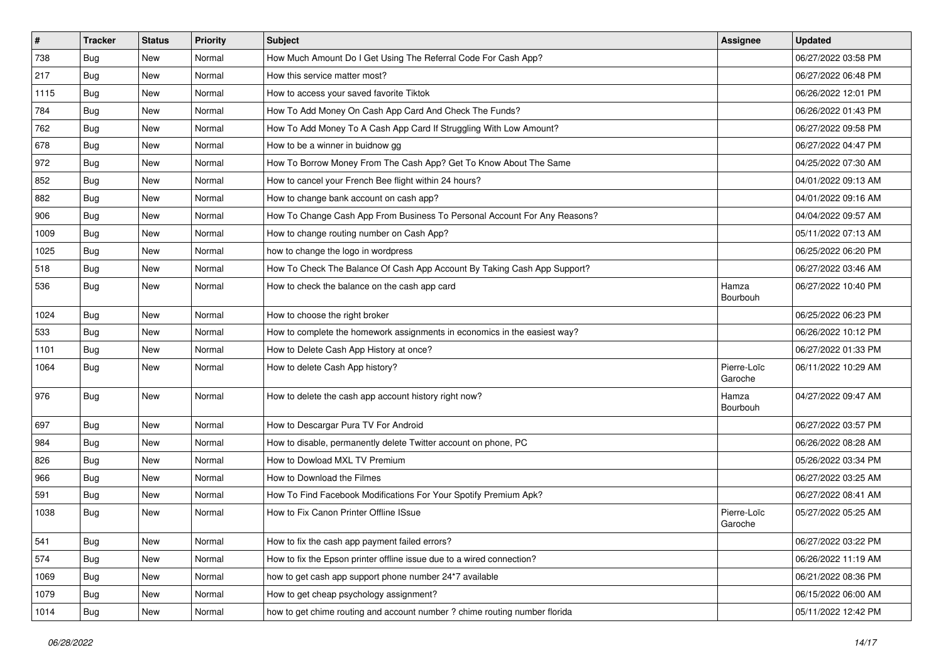| $\vert$ # | <b>Tracker</b> | <b>Status</b> | <b>Priority</b> | <b>Subject</b>                                                             | <b>Assignee</b>        | <b>Updated</b>      |
|-----------|----------------|---------------|-----------------|----------------------------------------------------------------------------|------------------------|---------------------|
| 738       | <b>Bug</b>     | New           | Normal          | How Much Amount Do I Get Using The Referral Code For Cash App?             |                        | 06/27/2022 03:58 PM |
| 217       | Bug            | <b>New</b>    | Normal          | How this service matter most?                                              |                        | 06/27/2022 06:48 PM |
| 1115      | Bug            | New           | Normal          | How to access your saved favorite Tiktok                                   |                        | 06/26/2022 12:01 PM |
| 784       | <b>Bug</b>     | <b>New</b>    | Normal          | How To Add Money On Cash App Card And Check The Funds?                     |                        | 06/26/2022 01:43 PM |
| 762       | Bug            | <b>New</b>    | Normal          | How To Add Money To A Cash App Card If Struggling With Low Amount?         |                        | 06/27/2022 09:58 PM |
| 678       | <b>Bug</b>     | New           | Normal          | How to be a winner in buidnow gg                                           |                        | 06/27/2022 04:47 PM |
| 972       | Bug            | New           | Normal          | How To Borrow Money From The Cash App? Get To Know About The Same          |                        | 04/25/2022 07:30 AM |
| 852       | <b>Bug</b>     | New           | Normal          | How to cancel your French Bee flight within 24 hours?                      |                        | 04/01/2022 09:13 AM |
| 882       | Bug            | New           | Normal          | How to change bank account on cash app?                                    |                        | 04/01/2022 09:16 AM |
| 906       | Bug            | <b>New</b>    | Normal          | How To Change Cash App From Business To Personal Account For Any Reasons?  |                        | 04/04/2022 09:57 AM |
| 1009      | Bug            | New           | Normal          | How to change routing number on Cash App?                                  |                        | 05/11/2022 07:13 AM |
| 1025      | Bug            | New           | Normal          | how to change the logo in wordpress                                        |                        | 06/25/2022 06:20 PM |
| 518       | Bug            | <b>New</b>    | Normal          | How To Check The Balance Of Cash App Account By Taking Cash App Support?   |                        | 06/27/2022 03:46 AM |
| 536       | Bug            | New           | Normal          | How to check the balance on the cash app card                              | Hamza<br>Bourbouh      | 06/27/2022 10:40 PM |
| 1024      | Bug            | New           | Normal          | How to choose the right broker                                             |                        | 06/25/2022 06:23 PM |
| 533       | <b>Bug</b>     | <b>New</b>    | Normal          | How to complete the homework assignments in economics in the easiest way?  |                        | 06/26/2022 10:12 PM |
| 1101      | Bug            | <b>New</b>    | Normal          | How to Delete Cash App History at once?                                    |                        | 06/27/2022 01:33 PM |
| 1064      | Bug            | New           | Normal          | How to delete Cash App history?                                            | Pierre-Loïc<br>Garoche | 06/11/2022 10:29 AM |
| 976       | Bug            | <b>New</b>    | Normal          | How to delete the cash app account history right now?                      | Hamza<br>Bourbouh      | 04/27/2022 09:47 AM |
| 697       | Bug            | <b>New</b>    | Normal          | How to Descargar Pura TV For Android                                       |                        | 06/27/2022 03:57 PM |
| 984       | Bug            | New           | Normal          | How to disable, permanently delete Twitter account on phone, PC            |                        | 06/26/2022 08:28 AM |
| 826       | <b>Bug</b>     | New           | Normal          | How to Dowload MXL TV Premium                                              |                        | 05/26/2022 03:34 PM |
| 966       | Bug            | <b>New</b>    | Normal          | How to Download the Filmes                                                 |                        | 06/27/2022 03:25 AM |
| 591       | Bug            | New           | Normal          | How To Find Facebook Modifications For Your Spotify Premium Apk?           |                        | 06/27/2022 08:41 AM |
| 1038      | Bug            | New           | Normal          | How to Fix Canon Printer Offline ISsue                                     | Pierre-Loïc<br>Garoche | 05/27/2022 05:25 AM |
| 541       | <b>Bug</b>     | New           | Normal          | How to fix the cash app payment failed errors?                             |                        | 06/27/2022 03:22 PM |
| 574       | Bug            | New           | Normal          | How to fix the Epson printer offline issue due to a wired connection?      |                        | 06/26/2022 11:19 AM |
| 1069      | Bug            | New           | Normal          | how to get cash app support phone number 24*7 available                    |                        | 06/21/2022 08:36 PM |
| 1079      | Bug            | New           | Normal          | How to get cheap psychology assignment?                                    |                        | 06/15/2022 06:00 AM |
| 1014      | Bug            | New           | Normal          | how to get chime routing and account number ? chime routing number florida |                        | 05/11/2022 12:42 PM |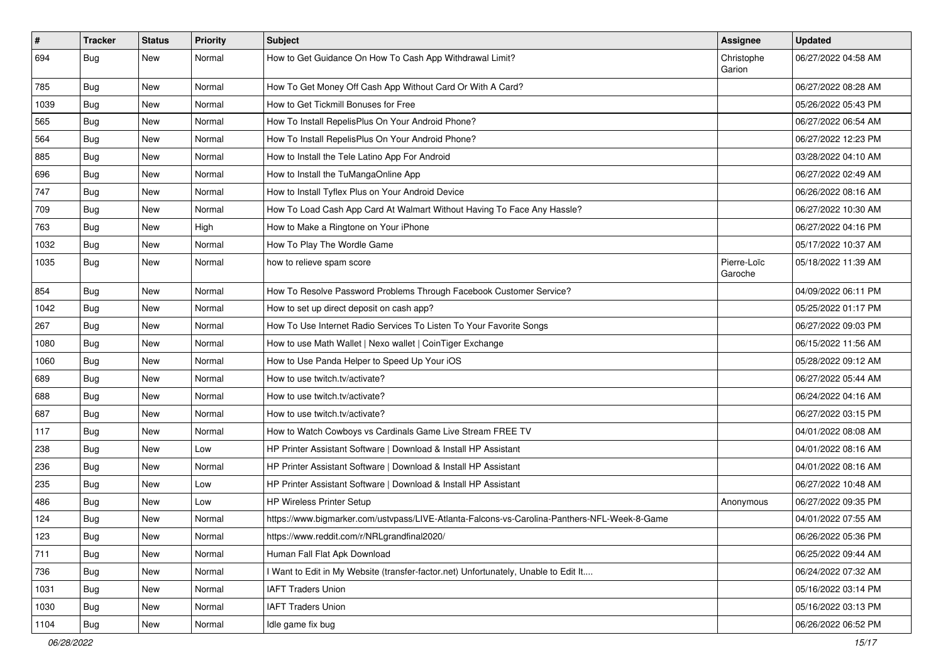| $\vert$ # | <b>Tracker</b> | <b>Status</b> | <b>Priority</b> | <b>Subject</b>                                                                               | <b>Assignee</b>        | <b>Updated</b>      |
|-----------|----------------|---------------|-----------------|----------------------------------------------------------------------------------------------|------------------------|---------------------|
| 694       | <b>Bug</b>     | New           | Normal          | How to Get Guidance On How To Cash App Withdrawal Limit?                                     | Christophe<br>Garion   | 06/27/2022 04:58 AM |
| 785       | Bug            | <b>New</b>    | Normal          | How To Get Money Off Cash App Without Card Or With A Card?                                   |                        | 06/27/2022 08:28 AM |
| 1039      | Bug            | New           | Normal          | How to Get Tickmill Bonuses for Free                                                         |                        | 05/26/2022 05:43 PM |
| 565       | Bug            | <b>New</b>    | Normal          | How To Install RepelisPlus On Your Android Phone?                                            |                        | 06/27/2022 06:54 AM |
| 564       | Bug            | New           | Normal          | How To Install RepelisPlus On Your Android Phone?                                            |                        | 06/27/2022 12:23 PM |
| 885       | Bug            | <b>New</b>    | Normal          | How to Install the Tele Latino App For Android                                               |                        | 03/28/2022 04:10 AM |
| 696       | Bug            | <b>New</b>    | Normal          | How to Install the TuMangaOnline App                                                         |                        | 06/27/2022 02:49 AM |
| 747       | Bug            | New           | Normal          | How to Install Tyflex Plus on Your Android Device                                            |                        | 06/26/2022 08:16 AM |
| 709       | Bug            | <b>New</b>    | Normal          | How To Load Cash App Card At Walmart Without Having To Face Any Hassle?                      |                        | 06/27/2022 10:30 AM |
| 763       | Bug            | New           | High            | How to Make a Ringtone on Your iPhone                                                        |                        | 06/27/2022 04:16 PM |
| 1032      | <b>Bug</b>     | New           | Normal          | How To Play The Wordle Game                                                                  |                        | 05/17/2022 10:37 AM |
| 1035      | <b>Bug</b>     | <b>New</b>    | Normal          | how to relieve spam score                                                                    | Pierre-Loïc<br>Garoche | 05/18/2022 11:39 AM |
| 854       | Bug            | <b>New</b>    | Normal          | How To Resolve Password Problems Through Facebook Customer Service?                          |                        | 04/09/2022 06:11 PM |
| 1042      | Bug            | New           | Normal          | How to set up direct deposit on cash app?                                                    |                        | 05/25/2022 01:17 PM |
| 267       | Bug            | New           | Normal          | How To Use Internet Radio Services To Listen To Your Favorite Songs                          |                        | 06/27/2022 09:03 PM |
| 1080      | Bug            | <b>New</b>    | Normal          | How to use Math Wallet   Nexo wallet   CoinTiger Exchange                                    |                        | 06/15/2022 11:56 AM |
| 1060      | Bug            | New           | Normal          | How to Use Panda Helper to Speed Up Your iOS                                                 |                        | 05/28/2022 09:12 AM |
| 689       | <b>Bug</b>     | New           | Normal          | How to use twitch.tv/activate?                                                               |                        | 06/27/2022 05:44 AM |
| 688       | Bug            | <b>New</b>    | Normal          | How to use twitch.tv/activate?                                                               |                        | 06/24/2022 04:16 AM |
| 687       | Bug            | New           | Normal          | How to use twitch.tv/activate?                                                               |                        | 06/27/2022 03:15 PM |
| 117       | <b>Bug</b>     | <b>New</b>    | Normal          | How to Watch Cowboys vs Cardinals Game Live Stream FREE TV                                   |                        | 04/01/2022 08:08 AM |
| 238       | Bug            | New           | Low             | HP Printer Assistant Software   Download & Install HP Assistant                              |                        | 04/01/2022 08:16 AM |
| 236       | <b>Bug</b>     | New           | Normal          | HP Printer Assistant Software   Download & Install HP Assistant                              |                        | 04/01/2022 08:16 AM |
| 235       | Bug            | <b>New</b>    | Low             | HP Printer Assistant Software   Download & Install HP Assistant                              |                        | 06/27/2022 10:48 AM |
| 486       | <b>Bug</b>     | New           | Low             | <b>HP Wireless Printer Setup</b>                                                             | Anonymous              | 06/27/2022 09:35 PM |
| 124       | Bug            | New           | Normal          | https://www.bigmarker.com/ustvpass/LIVE-Atlanta-Falcons-vs-Carolina-Panthers-NFL-Week-8-Game |                        | 04/01/2022 07:55 AM |
| 123       | Bug            | New           | Normal          | https://www.reddit.com/r/NRLgrandfinal2020/                                                  |                        | 06/26/2022 05:36 PM |
| 711       | Bug            | New           | Normal          | Human Fall Flat Apk Download                                                                 |                        | 06/25/2022 09:44 AM |
| 736       | Bug            | <b>New</b>    | Normal          | I Want to Edit in My Website (transfer-factor.net) Unfortunately, Unable to Edit It          |                        | 06/24/2022 07:32 AM |
| 1031      | <b>Bug</b>     | New           | Normal          | <b>IAFT Traders Union</b>                                                                    |                        | 05/16/2022 03:14 PM |
| 1030      | Bug            | New           | Normal          | <b>IAFT Traders Union</b>                                                                    |                        | 05/16/2022 03:13 PM |
| 1104      | <b>Bug</b>     | New           | Normal          | Idle game fix bug                                                                            |                        | 06/26/2022 06:52 PM |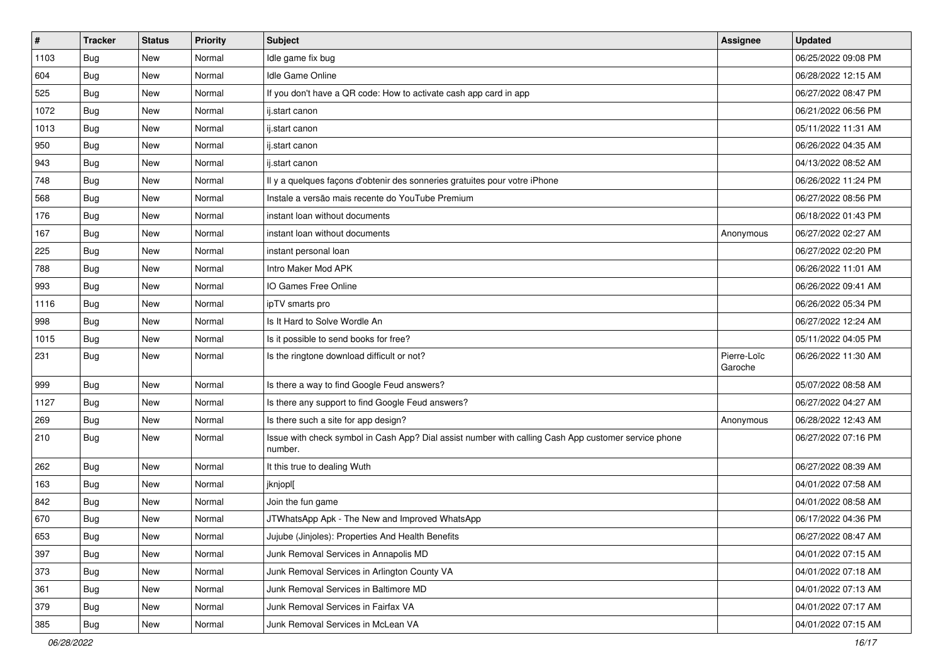| #    | <b>Tracker</b> | <b>Status</b> | <b>Priority</b> | <b>Subject</b>                                                                                                  | <b>Assignee</b>        | <b>Updated</b>      |
|------|----------------|---------------|-----------------|-----------------------------------------------------------------------------------------------------------------|------------------------|---------------------|
| 1103 | <b>Bug</b>     | New           | Normal          | Idle game fix bug                                                                                               |                        | 06/25/2022 09:08 PM |
| 604  | Bug            | <b>New</b>    | Normal          | Idle Game Online                                                                                                |                        | 06/28/2022 12:15 AM |
| 525  | Bug            | <b>New</b>    | Normal          | If you don't have a QR code: How to activate cash app card in app                                               |                        | 06/27/2022 08:47 PM |
| 1072 | Bug            | <b>New</b>    | Normal          | ij.start canon                                                                                                  |                        | 06/21/2022 06:56 PM |
| 1013 | Bug            | <b>New</b>    | Normal          | ij.start canon                                                                                                  |                        | 05/11/2022 11:31 AM |
| 950  | Bug            | New           | Normal          | ij.start canon                                                                                                  |                        | 06/26/2022 04:35 AM |
| 943  | <b>Bug</b>     | New           | Normal          | ij.start canon                                                                                                  |                        | 04/13/2022 08:52 AM |
| 748  | Bug            | <b>New</b>    | Normal          | Il y a quelques façons d'obtenir des sonneries gratuites pour votre iPhone                                      |                        | 06/26/2022 11:24 PM |
| 568  | <b>Bug</b>     | <b>New</b>    | Normal          | Instale a versão mais recente do YouTube Premium                                                                |                        | 06/27/2022 08:56 PM |
| 176  | Bug            | <b>New</b>    | Normal          | instant loan without documents                                                                                  |                        | 06/18/2022 01:43 PM |
| 167  | <b>Bug</b>     | New           | Normal          | instant loan without documents                                                                                  | Anonymous              | 06/27/2022 02:27 AM |
| 225  | <b>Bug</b>     | <b>New</b>    | Normal          | instant personal loan                                                                                           |                        | 06/27/2022 02:20 PM |
| 788  | Bug            | <b>New</b>    | Normal          | Intro Maker Mod APK                                                                                             |                        | 06/26/2022 11:01 AM |
| 993  | Bug            | New           | Normal          | IO Games Free Online                                                                                            |                        | 06/26/2022 09:41 AM |
| 1116 | Bug            | <b>New</b>    | Normal          | ipTV smarts pro                                                                                                 |                        | 06/26/2022 05:34 PM |
| 998  | Bug            | New           | Normal          | Is It Hard to Solve Wordle An                                                                                   |                        | 06/27/2022 12:24 AM |
| 1015 | Bug            | <b>New</b>    | Normal          | Is it possible to send books for free?                                                                          |                        | 05/11/2022 04:05 PM |
| 231  | Bug            | New           | Normal          | Is the ringtone download difficult or not?                                                                      | Pierre-Loïc<br>Garoche | 06/26/2022 11:30 AM |
| 999  | Bug            | <b>New</b>    | Normal          | Is there a way to find Google Feud answers?                                                                     |                        | 05/07/2022 08:58 AM |
| 1127 | Bug            | <b>New</b>    | Normal          | Is there any support to find Google Feud answers?                                                               |                        | 06/27/2022 04:27 AM |
| 269  | <b>Bug</b>     | New           | Normal          | Is there such a site for app design?                                                                            | Anonymous              | 06/28/2022 12:43 AM |
| 210  | Bug            | New           | Normal          | Issue with check symbol in Cash App? Dial assist number with calling Cash App customer service phone<br>number. |                        | 06/27/2022 07:16 PM |
| 262  | Bug            | <b>New</b>    | Normal          | It this true to dealing Wuth                                                                                    |                        | 06/27/2022 08:39 AM |
| 163  | Bug            | <b>New</b>    | Normal          | jknjopl[                                                                                                        |                        | 04/01/2022 07:58 AM |
| 842  | Bug            | New           | Normal          | Join the fun game                                                                                               |                        | 04/01/2022 08:58 AM |
| 670  | Bug            | New           | Normal          | JTWhatsApp Apk - The New and Improved WhatsApp                                                                  |                        | 06/17/2022 04:36 PM |
| 653  | Bug            | New           | Normal          | Jujube (Jinjoles): Properties And Health Benefits                                                               |                        | 06/27/2022 08:47 AM |
| 397  | <b>Bug</b>     | New           | Normal          | Junk Removal Services in Annapolis MD                                                                           |                        | 04/01/2022 07:15 AM |
| 373  | Bug            | New           | Normal          | Junk Removal Services in Arlington County VA                                                                    |                        | 04/01/2022 07:18 AM |
| 361  | Bug            | New           | Normal          | Junk Removal Services in Baltimore MD                                                                           |                        | 04/01/2022 07:13 AM |
| 379  | <b>Bug</b>     | New           | Normal          | Junk Removal Services in Fairfax VA                                                                             |                        | 04/01/2022 07:17 AM |
| 385  | Bug            | New           | Normal          | Junk Removal Services in McLean VA                                                                              |                        | 04/01/2022 07:15 AM |